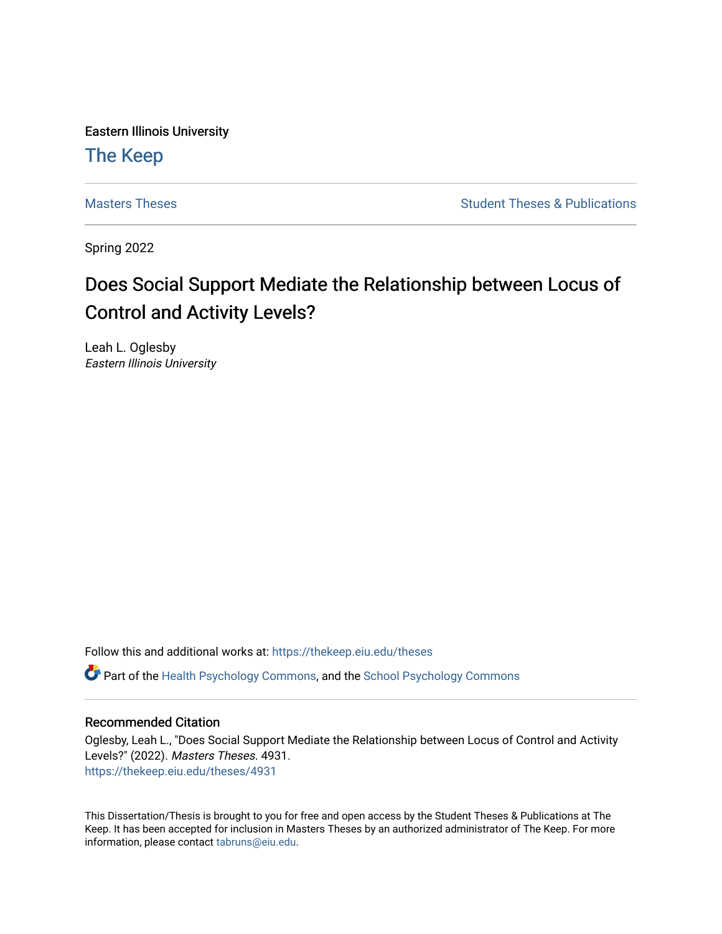Eastern Illinois University

# [The Keep](https://thekeep.eiu.edu/)

[Masters Theses](https://thekeep.eiu.edu/theses) **Student Theses & Publications** Student Theses & Publications

Spring 2022

# Does Social Support Mediate the Relationship between Locus of Control and Activity Levels?

Leah L. Oglesby Eastern Illinois University

Follow this and additional works at: [https://thekeep.eiu.edu/theses](https://thekeep.eiu.edu/theses?utm_source=thekeep.eiu.edu%2Ftheses%2F4931&utm_medium=PDF&utm_campaign=PDFCoverPages)

**C** Part of the [Health Psychology Commons](https://network.bepress.com/hgg/discipline/411?utm_source=thekeep.eiu.edu%2Ftheses%2F4931&utm_medium=PDF&utm_campaign=PDFCoverPages), and the [School Psychology Commons](https://network.bepress.com/hgg/discipline/1072?utm_source=thekeep.eiu.edu%2Ftheses%2F4931&utm_medium=PDF&utm_campaign=PDFCoverPages)

### Recommended Citation

Oglesby, Leah L., "Does Social Support Mediate the Relationship between Locus of Control and Activity Levels?" (2022). Masters Theses. 4931. [https://thekeep.eiu.edu/theses/4931](https://thekeep.eiu.edu/theses/4931?utm_source=thekeep.eiu.edu%2Ftheses%2F4931&utm_medium=PDF&utm_campaign=PDFCoverPages) 

This Dissertation/Thesis is brought to you for free and open access by the Student Theses & Publications at The Keep. It has been accepted for inclusion in Masters Theses by an authorized administrator of The Keep. For more information, please contact [tabruns@eiu.edu](mailto:tabruns@eiu.edu).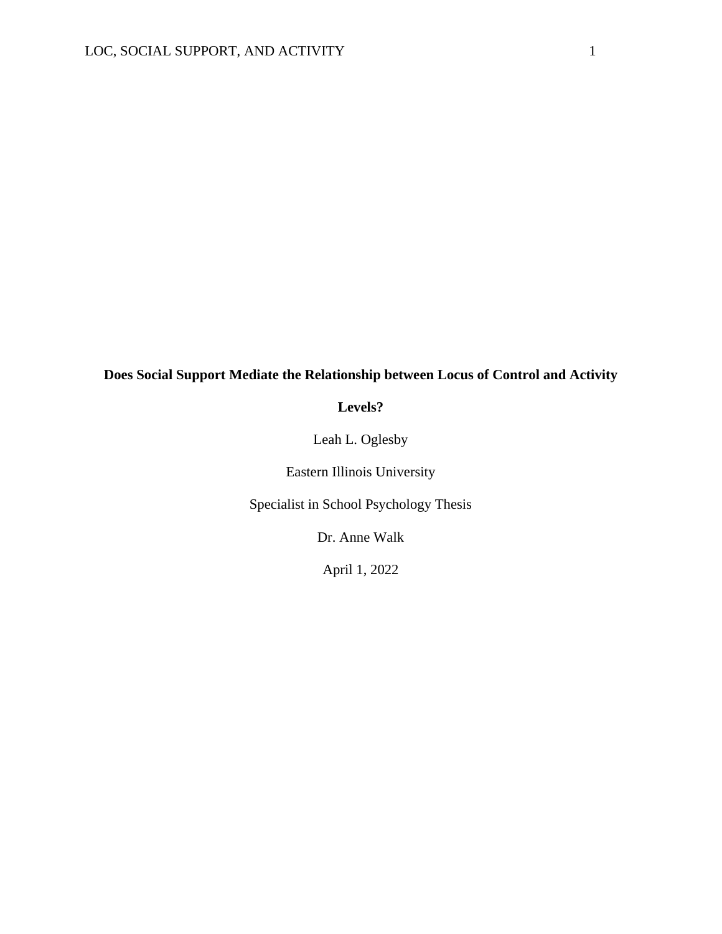### **Does Social Support Mediate the Relationship between Locus of Control and Activity**

**Levels?**

Leah L. Oglesby

Eastern Illinois University

Specialist in School Psychology Thesis

Dr. Anne Walk

April 1, 2022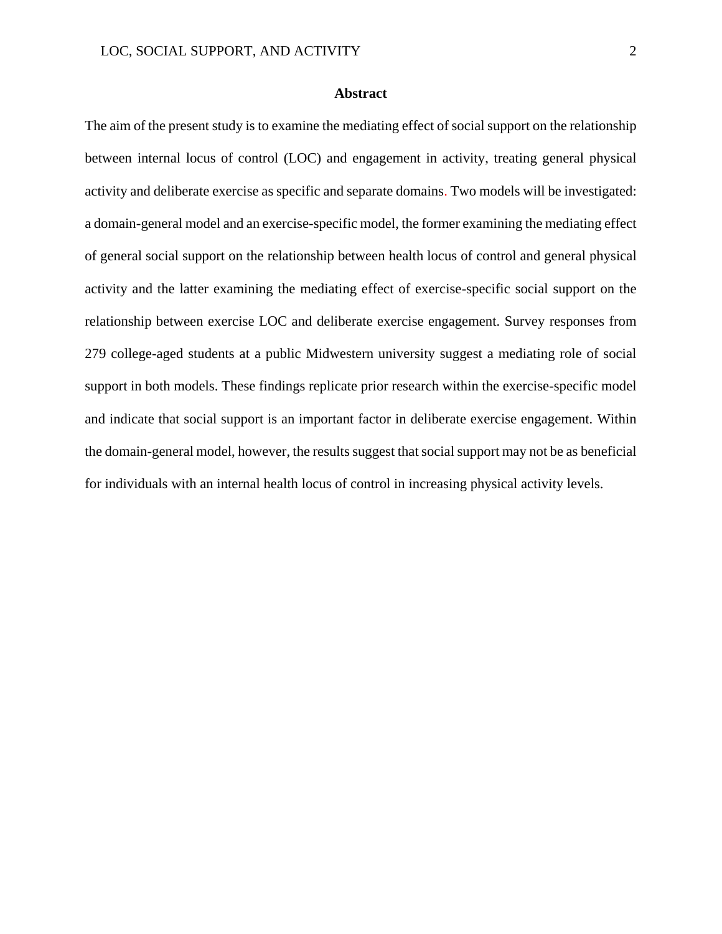#### **Abstract**

The aim of the present study is to examine the mediating effect of social support on the relationship between internal locus of control (LOC) and engagement in activity, treating general physical activity and deliberate exercise as specific and separate domains. Two models will be investigated: a domain-general model and an exercise-specific model, the former examining the mediating effect of general social support on the relationship between health locus of control and general physical activity and the latter examining the mediating effect of exercise-specific social support on the relationship between exercise LOC and deliberate exercise engagement. Survey responses from 279 college-aged students at a public Midwestern university suggest a mediating role of social support in both models. These findings replicate prior research within the exercise-specific model and indicate that social support is an important factor in deliberate exercise engagement. Within the domain-general model, however, the results suggest that social support may not be as beneficial for individuals with an internal health locus of control in increasing physical activity levels.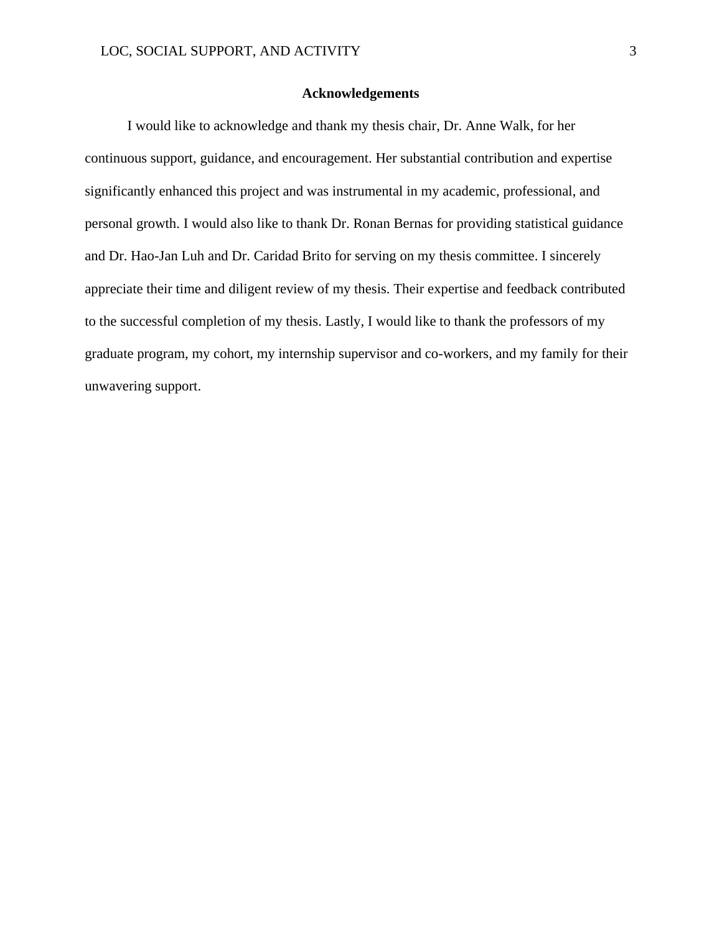#### **Acknowledgements**

I would like to acknowledge and thank my thesis chair, Dr. Anne Walk, for her continuous support, guidance, and encouragement. Her substantial contribution and expertise significantly enhanced this project and was instrumental in my academic, professional, and personal growth. I would also like to thank Dr. Ronan Bernas for providing statistical guidance and Dr. Hao-Jan Luh and Dr. Caridad Brito for serving on my thesis committee. I sincerely appreciate their time and diligent review of my thesis. Their expertise and feedback contributed to the successful completion of my thesis. Lastly, I would like to thank the professors of my graduate program, my cohort, my internship supervisor and co-workers, and my family for their unwavering support.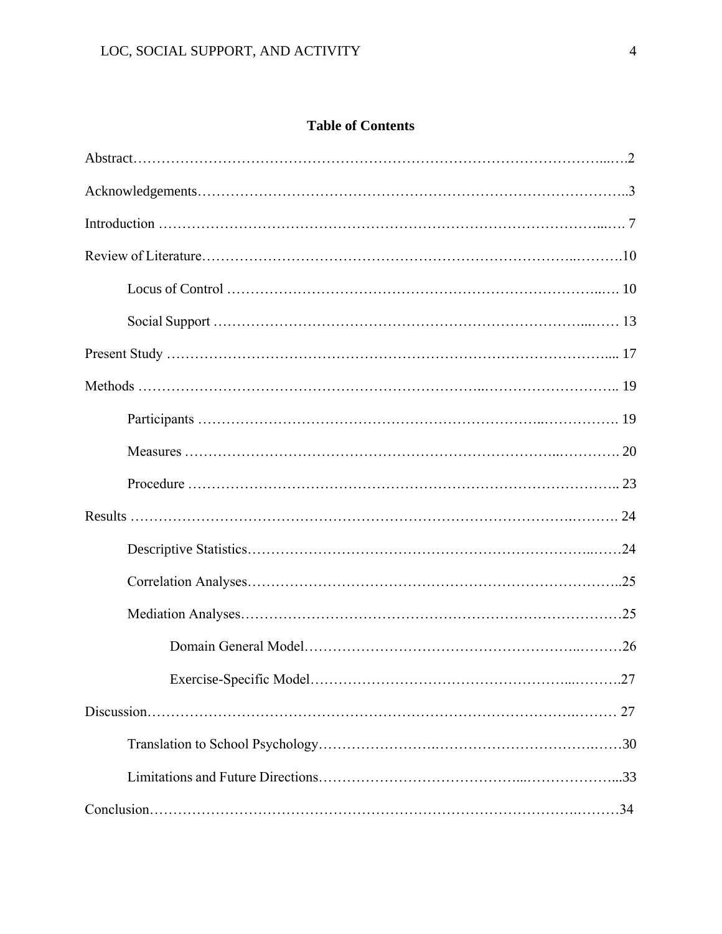## **Table of Contents**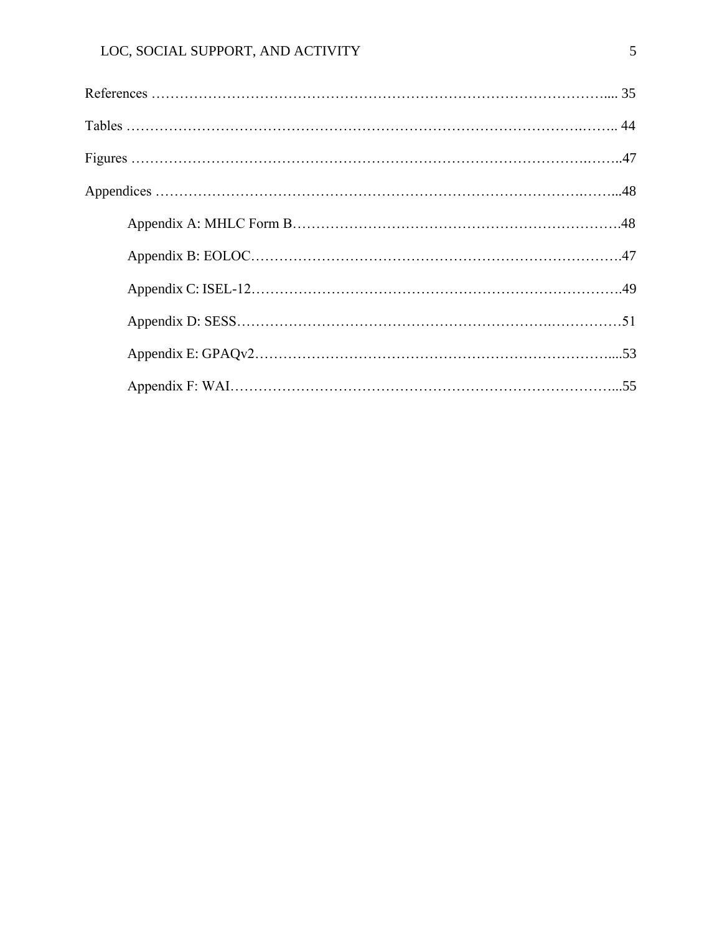## LOC, SOCIAL SUPPORT, AND ACTIVITY 5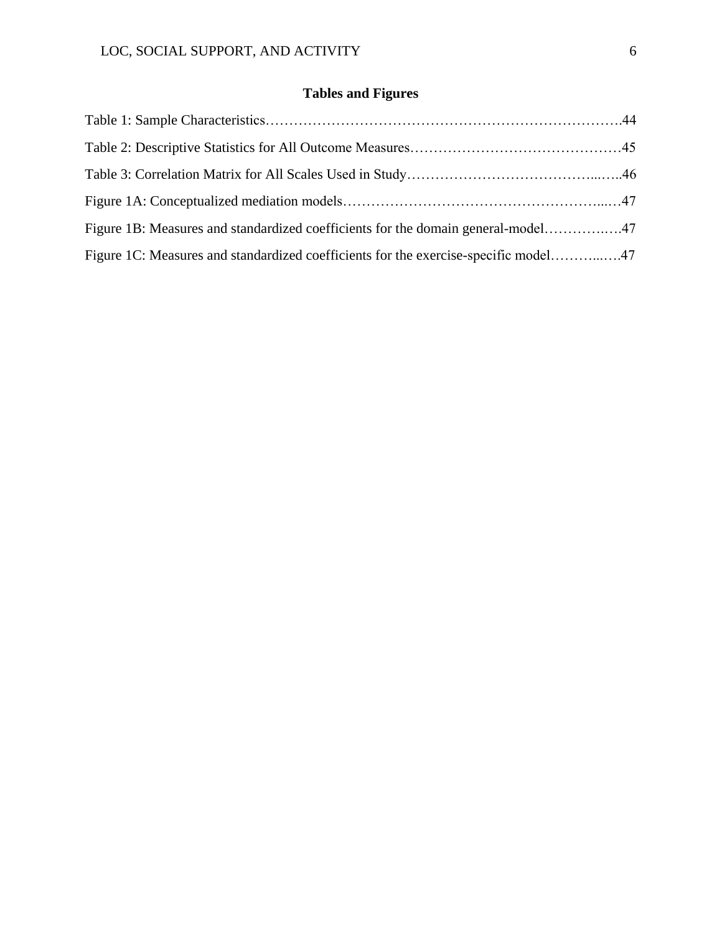# **Tables and Figures**

| Figure 1B: Measures and standardized coefficients for the domain general-model47    |  |
|-------------------------------------------------------------------------------------|--|
| Figure 1C: Measures and standardized coefficients for the exercise-specific model47 |  |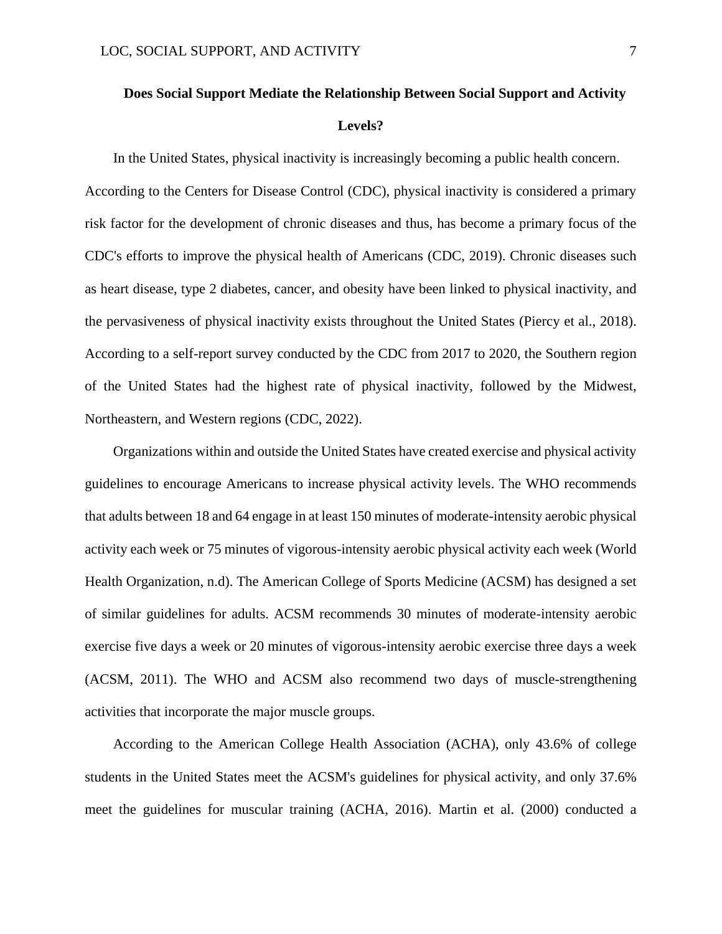# **Does Social Support Mediate the Relationship Between Social Support and Activity Levels?**

In the United States, physical inactivity is increasingly becoming a public health concern. According to the Centers for Disease Control (CDC), physical inactivity is considered a primary risk factor for the development of chronic diseases and thus, has become a primary focus of the CDC's efforts to improve the physical health of Americans (CDC, 2019). Chronic diseases such as heart disease, type 2 diabetes, cancer, and obesity have been linked to physical inactivity, and the pervasiveness of physical inactivity exists throughout the United States (Piercy et al., 2018). According to a self-report survey conducted by the CDC from 2017 to 2020, the Southern region of the United States had the highest rate of physical inactivity, followed by the Midwest, Northeastern, and Western regions (CDC, 2022).

Organizations within and outside the United States have created exercise and physical activity guidelines to encourage Americans to increase physical activity levels. The WHO recommends that adults between 18 and 64 engage in at least 150 minutes of moderate-intensity aerobic physical activity each week or 75 minutes of vigorous-intensity aerobic physical activity each week (World Health Organization, n.d). The American College of Sports Medicine (ACSM) has designed a set of similar guidelines for adults. ACSM recommends 30 minutes of moderate-intensity aerobic exercise five days a week or 20 minutes of vigorous-intensity aerobic exercise three days a week (ACSM, 2011). The WHO and ACSM also recommend two days of muscle-strengthening activities that incorporate the major muscle groups.

According to the American College Health Association (ACHA), only 43.6% of college students in the United States meet the ACSM's guidelines for physical activity, and only 37.6% meet the guidelines for muscular training (ACHA, 2016). Martin et al. (2000) conducted a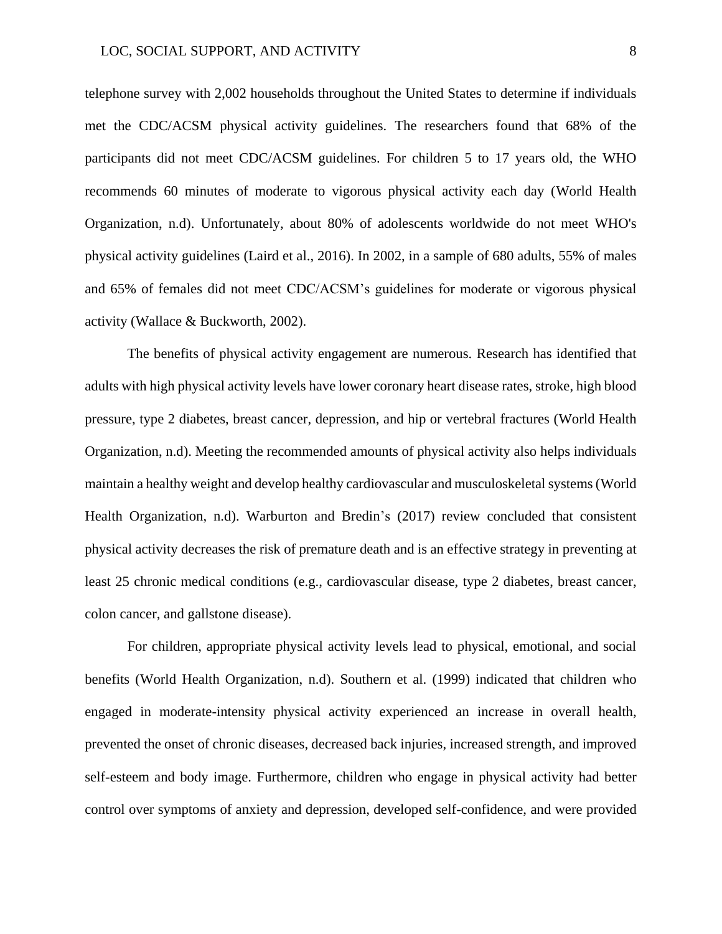telephone survey with 2,002 households throughout the United States to determine if individuals met the CDC/ACSM physical activity guidelines. The researchers found that 68% of the participants did not meet CDC/ACSM guidelines. For children 5 to 17 years old, the WHO recommends 60 minutes of moderate to vigorous physical activity each day (World Health Organization, n.d). Unfortunately, about 80% of adolescents worldwide do not meet WHO's physical activity guidelines (Laird et al., 2016). In 2002, in a sample of 680 adults, 55% of males and 65% of females did not meet CDC/ACSM's guidelines for moderate or vigorous physical activity (Wallace & Buckworth, 2002).

The benefits of physical activity engagement are numerous. Research has identified that adults with high physical activity levels have lower coronary heart disease rates, stroke, high blood pressure, type 2 diabetes, breast cancer, depression, and hip or vertebral fractures (World Health Organization, n.d). Meeting the recommended amounts of physical activity also helps individuals maintain a healthy weight and develop healthy cardiovascular and musculoskeletal systems (World Health Organization, n.d). Warburton and Bredin's (2017) review concluded that consistent physical activity decreases the risk of premature death and is an effective strategy in preventing at least 25 chronic medical conditions (e.g., cardiovascular disease, type 2 diabetes, breast cancer, colon cancer, and gallstone disease).

For children, appropriate physical activity levels lead to physical, emotional, and social benefits (World Health Organization, n.d). Southern et al. (1999) indicated that children who engaged in moderate-intensity physical activity experienced an increase in overall health, prevented the onset of chronic diseases, decreased back injuries, increased strength, and improved self-esteem and body image. Furthermore, children who engage in physical activity had better control over symptoms of anxiety and depression, developed self-confidence, and were provided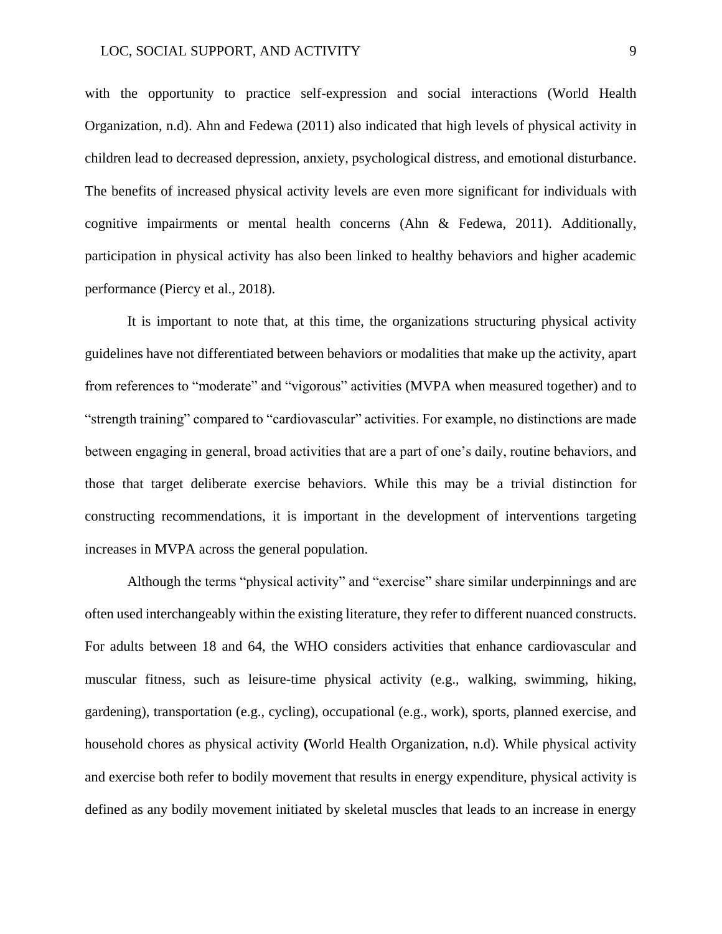with the opportunity to practice self-expression and social interactions (World Health Organization, n.d). Ahn and Fedewa (2011) also indicated that high levels of physical activity in children lead to decreased depression, anxiety, psychological distress, and emotional disturbance. The benefits of increased physical activity levels are even more significant for individuals with cognitive impairments or mental health concerns (Ahn & Fedewa, 2011). Additionally, participation in physical activity has also been linked to healthy behaviors and higher academic performance (Piercy et al., 2018).

It is important to note that, at this time, the organizations structuring physical activity guidelines have not differentiated between behaviors or modalities that make up the activity, apart from references to "moderate" and "vigorous" activities (MVPA when measured together) and to "strength training" compared to "cardiovascular" activities. For example, no distinctions are made between engaging in general, broad activities that are a part of one's daily, routine behaviors, and those that target deliberate exercise behaviors. While this may be a trivial distinction for constructing recommendations, it is important in the development of interventions targeting increases in MVPA across the general population.

Although the terms "physical activity" and "exercise" share similar underpinnings and are often used interchangeably within the existing literature, they refer to different nuanced constructs. For adults between 18 and 64, the WHO considers activities that enhance cardiovascular and muscular fitness, such as leisure-time physical activity (e.g., walking, swimming, hiking, gardening), transportation (e.g., cycling), occupational (e.g., work), sports, planned exercise, and household chores as physical activity **(**World Health Organization, n.d). While physical activity and exercise both refer to bodily movement that results in energy expenditure, physical activity is defined as any bodily movement initiated by skeletal muscles that leads to an increase in energy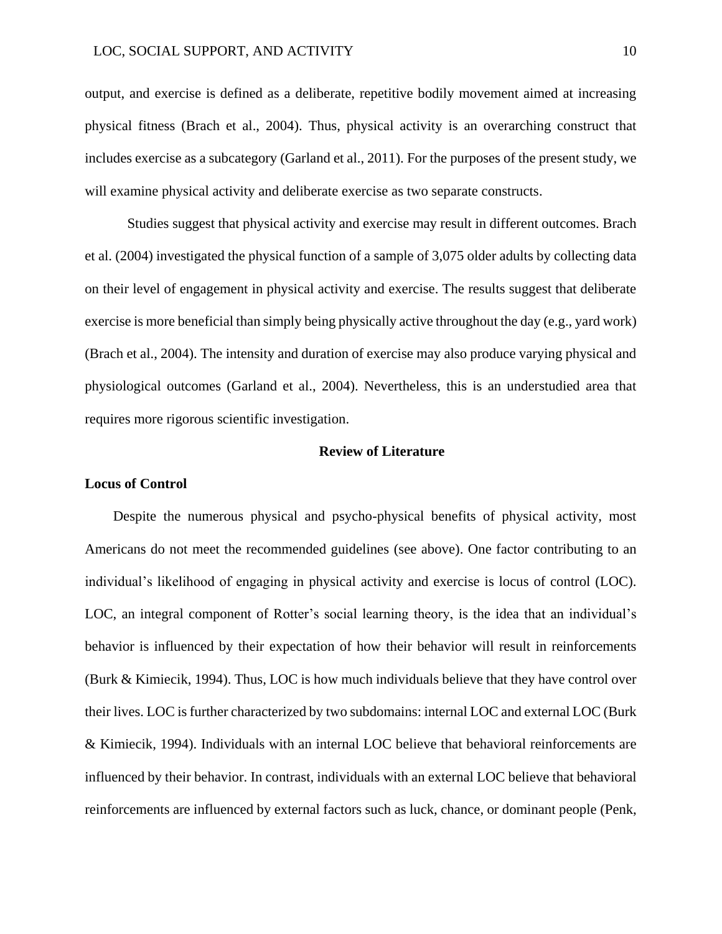output, and exercise is defined as a deliberate, repetitive bodily movement aimed at increasing physical fitness (Brach et al., 2004). Thus, physical activity is an overarching construct that includes exercise as a subcategory (Garland et al., 2011). For the purposes of the present study, we will examine physical activity and deliberate exercise as two separate constructs.

Studies suggest that physical activity and exercise may result in different outcomes. Brach et al. (2004) investigated the physical function of a sample of 3,075 older adults by collecting data on their level of engagement in physical activity and exercise. The results suggest that deliberate exercise is more beneficial than simply being physically active throughout the day (e.g., yard work) (Brach et al., 2004). The intensity and duration of exercise may also produce varying physical and physiological outcomes (Garland et al., 2004). Nevertheless, this is an understudied area that requires more rigorous scientific investigation.

#### **Review of Literature**

#### **Locus of Control**

Despite the numerous physical and psycho-physical benefits of physical activity, most Americans do not meet the recommended guidelines (see above). One factor contributing to an individual's likelihood of engaging in physical activity and exercise is locus of control (LOC). LOC, an integral component of Rotter's social learning theory, is the idea that an individual's behavior is influenced by their expectation of how their behavior will result in reinforcements (Burk & Kimiecik, 1994). Thus, LOC is how much individuals believe that they have control over their lives. LOC is further characterized by two subdomains: internal LOC and external LOC (Burk & Kimiecik, 1994). Individuals with an internal LOC believe that behavioral reinforcements are influenced by their behavior. In contrast, individuals with an external LOC believe that behavioral reinforcements are influenced by external factors such as luck, chance, or dominant people (Penk,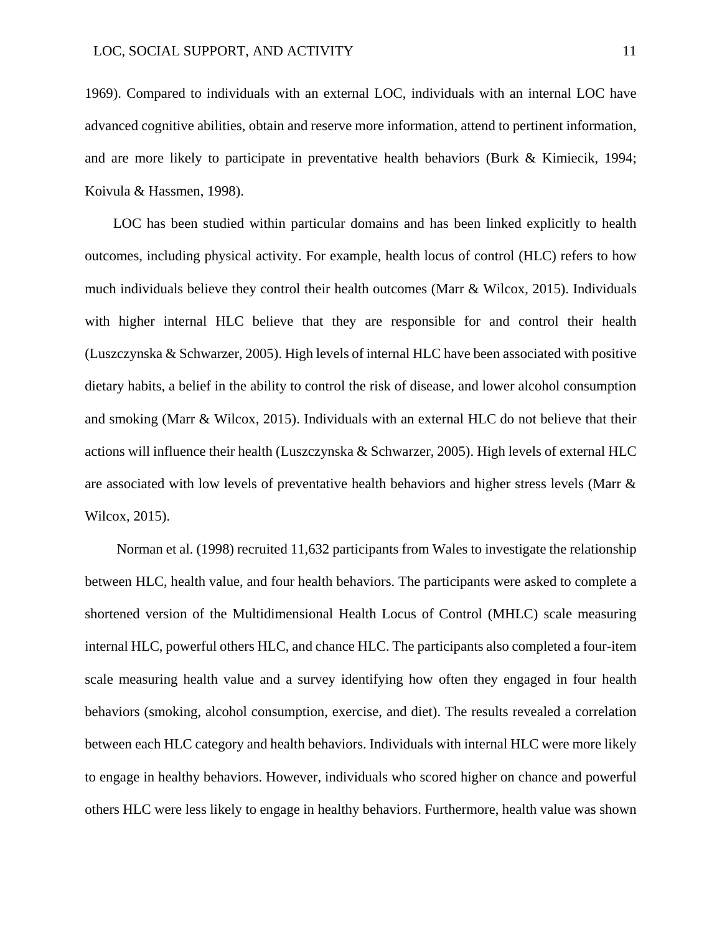1969). Compared to individuals with an external LOC, individuals with an internal LOC have advanced cognitive abilities, obtain and reserve more information, attend to pertinent information, and are more likely to participate in preventative health behaviors (Burk & Kimiecik, 1994; Koivula & Hassmen, 1998).

LOC has been studied within particular domains and has been linked explicitly to health outcomes, including physical activity. For example, health locus of control (HLC) refers to how much individuals believe they control their health outcomes (Marr & Wilcox, 2015). Individuals with higher internal HLC believe that they are responsible for and control their health (Luszczynska & Schwarzer, 2005). High levels of internal HLC have been associated with positive dietary habits, a belief in the ability to control the risk of disease, and lower alcohol consumption and smoking (Marr & Wilcox, 2015). Individuals with an external HLC do not believe that their actions will influence their health (Luszczynska & Schwarzer, 2005). High levels of external HLC are associated with low levels of preventative health behaviors and higher stress levels (Marr & Wilcox, 2015).

Norman et al. (1998) recruited 11,632 participants from Wales to investigate the relationship between HLC, health value, and four health behaviors. The participants were asked to complete a shortened version of the Multidimensional Health Locus of Control (MHLC) scale measuring internal HLC, powerful others HLC, and chance HLC. The participants also completed a four-item scale measuring health value and a survey identifying how often they engaged in four health behaviors (smoking, alcohol consumption, exercise, and diet). The results revealed a correlation between each HLC category and health behaviors. Individuals with internal HLC were more likely to engage in healthy behaviors. However, individuals who scored higher on chance and powerful others HLC were less likely to engage in healthy behaviors. Furthermore, health value was shown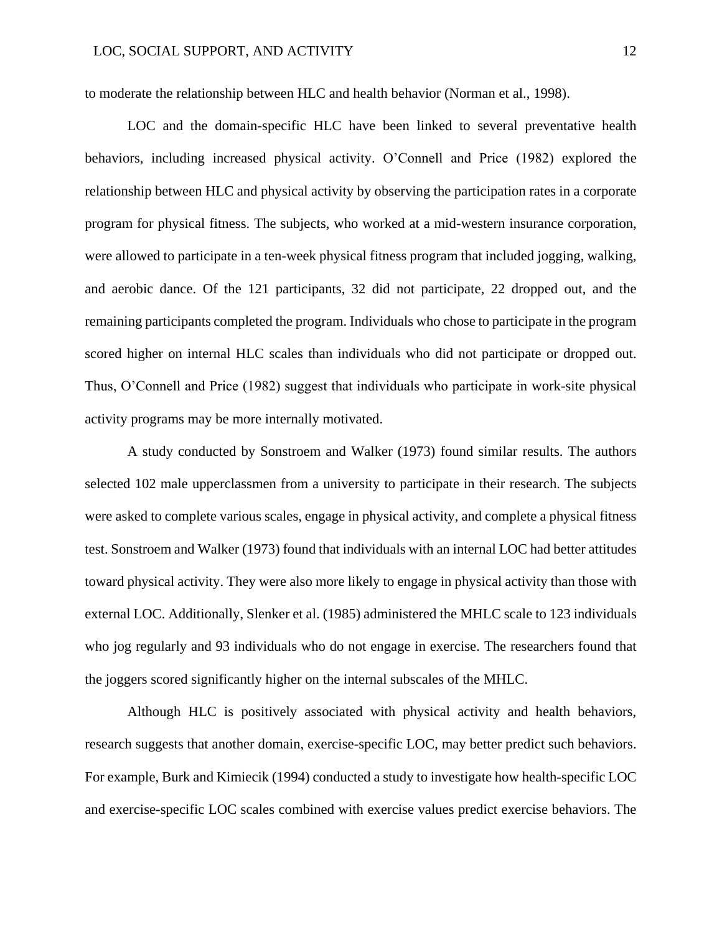to moderate the relationship between HLC and health behavior (Norman et al., 1998).

LOC and the domain-specific HLC have been linked to several preventative health behaviors, including increased physical activity. O'Connell and Price (1982) explored the relationship between HLC and physical activity by observing the participation rates in a corporate program for physical fitness. The subjects, who worked at a mid-western insurance corporation, were allowed to participate in a ten-week physical fitness program that included jogging, walking, and aerobic dance. Of the 121 participants, 32 did not participate, 22 dropped out, and the remaining participants completed the program. Individuals who chose to participate in the program scored higher on internal HLC scales than individuals who did not participate or dropped out. Thus, O'Connell and Price (1982) suggest that individuals who participate in work-site physical activity programs may be more internally motivated.

A study conducted by Sonstroem and Walker (1973) found similar results. The authors selected 102 male upperclassmen from a university to participate in their research. The subjects were asked to complete various scales, engage in physical activity, and complete a physical fitness test. Sonstroem and Walker (1973) found that individuals with an internal LOC had better attitudes toward physical activity. They were also more likely to engage in physical activity than those with external LOC. Additionally, Slenker et al. (1985) administered the MHLC scale to 123 individuals who jog regularly and 93 individuals who do not engage in exercise. The researchers found that the joggers scored significantly higher on the internal subscales of the MHLC.

Although HLC is positively associated with physical activity and health behaviors, research suggests that another domain, exercise-specific LOC, may better predict such behaviors. For example, Burk and Kimiecik (1994) conducted a study to investigate how health-specific LOC and exercise-specific LOC scales combined with exercise values predict exercise behaviors. The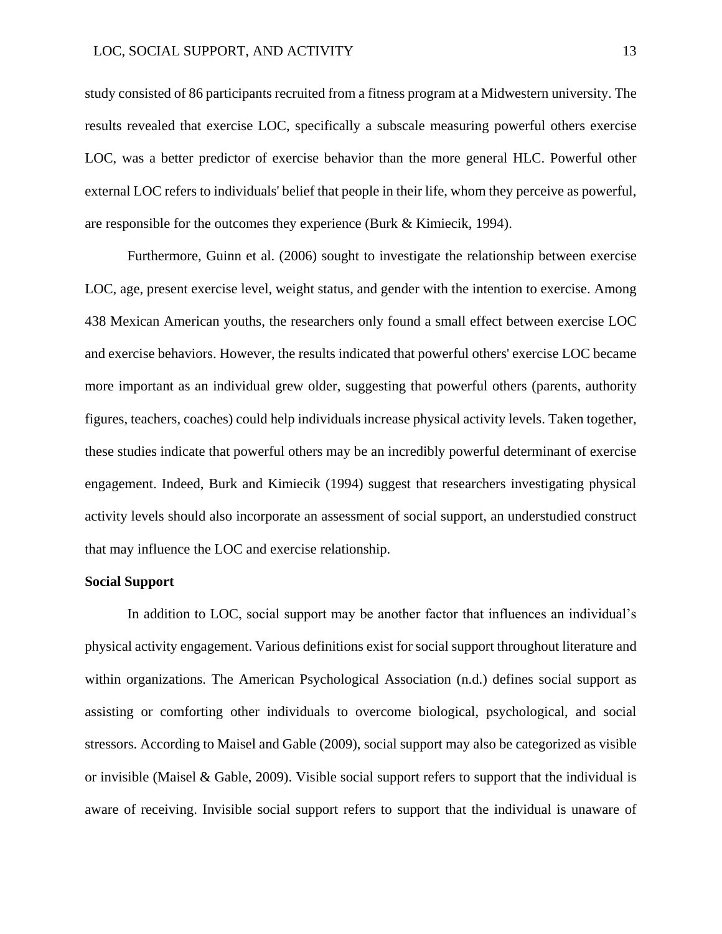study consisted of 86 participants recruited from a fitness program at a Midwestern university. The results revealed that exercise LOC, specifically a subscale measuring powerful others exercise LOC, was a better predictor of exercise behavior than the more general HLC. Powerful other external LOC refers to individuals' belief that people in their life, whom they perceive as powerful, are responsible for the outcomes they experience (Burk & Kimiecik, 1994).

Furthermore, Guinn et al. (2006) sought to investigate the relationship between exercise LOC, age, present exercise level, weight status, and gender with the intention to exercise. Among 438 Mexican American youths, the researchers only found a small effect between exercise LOC and exercise behaviors. However, the results indicated that powerful others' exercise LOC became more important as an individual grew older, suggesting that powerful others (parents, authority figures, teachers, coaches) could help individuals increase physical activity levels. Taken together, these studies indicate that powerful others may be an incredibly powerful determinant of exercise engagement. Indeed, Burk and Kimiecik (1994) suggest that researchers investigating physical activity levels should also incorporate an assessment of social support, an understudied construct that may influence the LOC and exercise relationship.

#### **Social Support**

In addition to LOC, social support may be another factor that influences an individual's physical activity engagement. Various definitions exist for social support throughout literature and within organizations. The American Psychological Association (n.d.) defines social support as assisting or comforting other individuals to overcome biological, psychological, and social stressors. According to Maisel and Gable (2009), social support may also be categorized as visible or invisible (Maisel & Gable, 2009). Visible social support refers to support that the individual is aware of receiving. Invisible social support refers to support that the individual is unaware of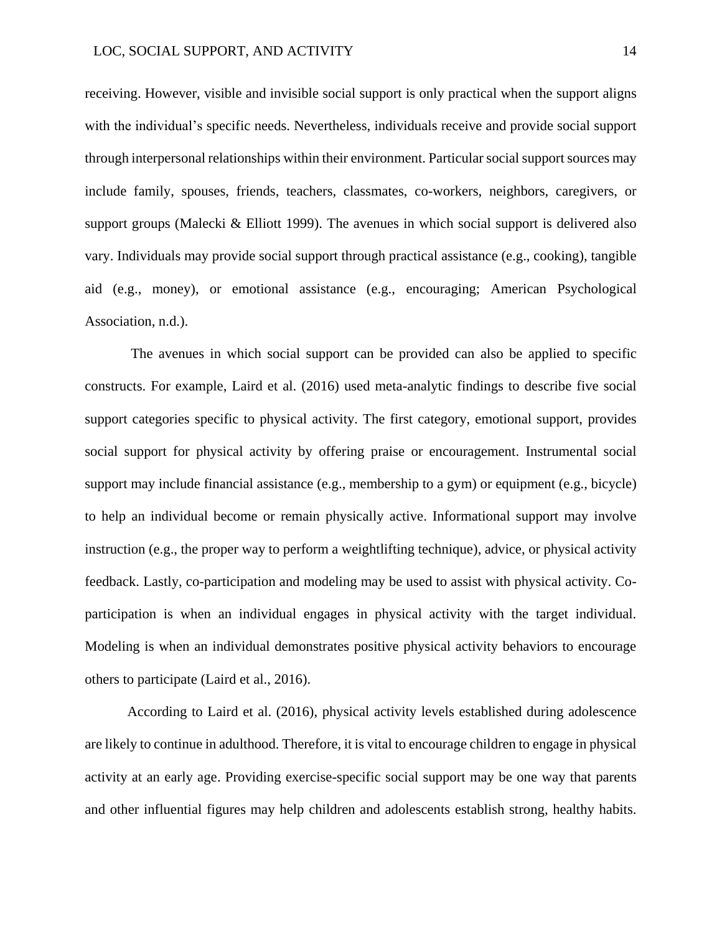receiving. However, visible and invisible social support is only practical when the support aligns with the individual's specific needs. Nevertheless, individuals receive and provide social support through interpersonal relationships within their environment. Particular social support sources may include family, spouses, friends, teachers, classmates, co-workers, neighbors, caregivers, or support groups (Malecki & Elliott 1999). The avenues in which social support is delivered also vary. Individuals may provide social support through practical assistance (e.g., cooking), tangible aid (e.g., money), or emotional assistance (e.g., encouraging; American Psychological Association, n.d.).

The avenues in which social support can be provided can also be applied to specific constructs. For example, Laird et al. (2016) used meta-analytic findings to describe five social support categories specific to physical activity. The first category, emotional support, provides social support for physical activity by offering praise or encouragement. Instrumental social support may include financial assistance (e.g., membership to a gym) or equipment (e.g., bicycle) to help an individual become or remain physically active. Informational support may involve instruction (e.g., the proper way to perform a weightlifting technique), advice, or physical activity feedback. Lastly, co-participation and modeling may be used to assist with physical activity. Coparticipation is when an individual engages in physical activity with the target individual. Modeling is when an individual demonstrates positive physical activity behaviors to encourage others to participate (Laird et al., 2016).

According to Laird et al. (2016), physical activity levels established during adolescence are likely to continue in adulthood. Therefore, it is vital to encourage children to engage in physical activity at an early age. Providing exercise-specific social support may be one way that parents and other influential figures may help children and adolescents establish strong, healthy habits.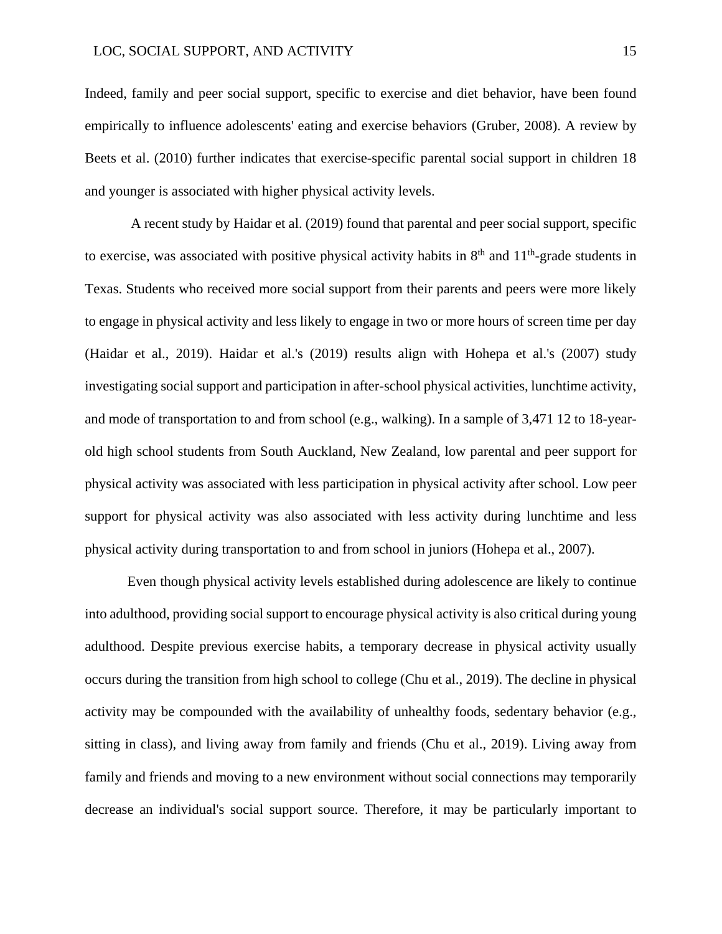Indeed, family and peer social support, specific to exercise and diet behavior, have been found empirically to influence adolescents' eating and exercise behaviors (Gruber, 2008). A review by Beets et al. (2010) further indicates that exercise-specific parental social support in children 18 and younger is associated with higher physical activity levels.

A recent study by Haidar et al. (2019) found that parental and peer social support, specific to exercise, was associated with positive physical activity habits in  $8<sup>th</sup>$  and  $11<sup>th</sup>$ -grade students in Texas. Students who received more social support from their parents and peers were more likely to engage in physical activity and less likely to engage in two or more hours of screen time per day (Haidar et al., 2019). Haidar et al.'s (2019) results align with Hohepa et al.'s (2007) study investigating social support and participation in after-school physical activities, lunchtime activity, and mode of transportation to and from school (e.g., walking). In a sample of 3,471 12 to 18-yearold high school students from South Auckland, New Zealand, low parental and peer support for physical activity was associated with less participation in physical activity after school. Low peer support for physical activity was also associated with less activity during lunchtime and less physical activity during transportation to and from school in juniors (Hohepa et al., 2007).

Even though physical activity levels established during adolescence are likely to continue into adulthood, providing social support to encourage physical activity is also critical during young adulthood. Despite previous exercise habits, a temporary decrease in physical activity usually occurs during the transition from high school to college (Chu et al., 2019). The decline in physical activity may be compounded with the availability of unhealthy foods, sedentary behavior (e.g., sitting in class), and living away from family and friends (Chu et al., 2019). Living away from family and friends and moving to a new environment without social connections may temporarily decrease an individual's social support source. Therefore, it may be particularly important to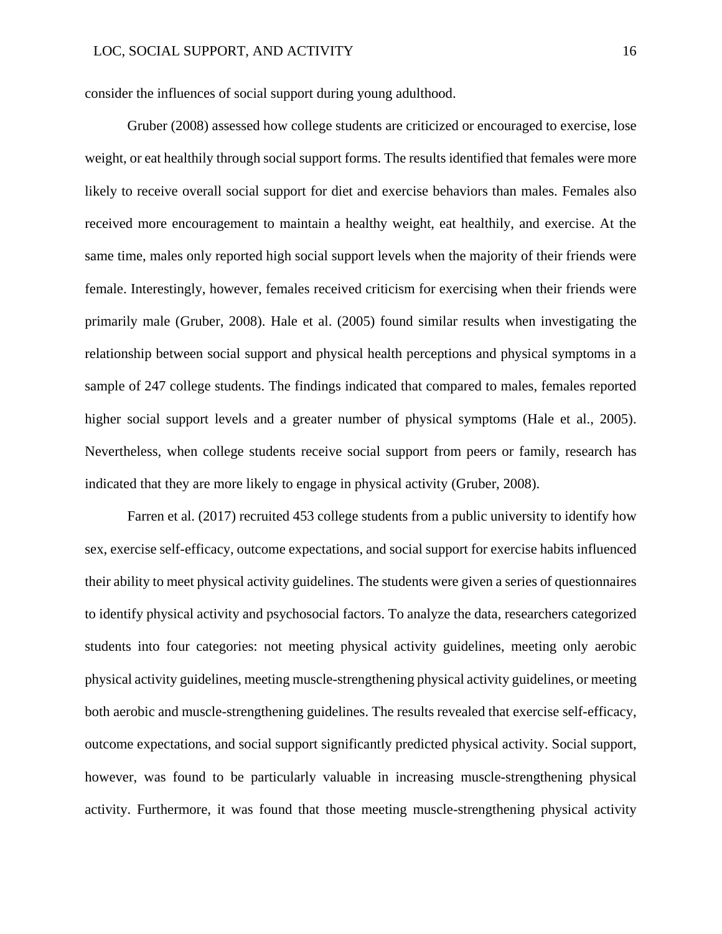consider the influences of social support during young adulthood.

Gruber (2008) assessed how college students are criticized or encouraged to exercise, lose weight, or eat healthily through social support forms. The results identified that females were more likely to receive overall social support for diet and exercise behaviors than males. Females also received more encouragement to maintain a healthy weight, eat healthily, and exercise. At the same time, males only reported high social support levels when the majority of their friends were female. Interestingly, however, females received criticism for exercising when their friends were primarily male (Gruber, 2008). Hale et al. (2005) found similar results when investigating the relationship between social support and physical health perceptions and physical symptoms in a sample of 247 college students. The findings indicated that compared to males, females reported higher social support levels and a greater number of physical symptoms (Hale et al., 2005). Nevertheless, when college students receive social support from peers or family, research has indicated that they are more likely to engage in physical activity (Gruber, 2008).

Farren et al. (2017) recruited 453 college students from a public university to identify how sex, exercise self-efficacy, outcome expectations, and social support for exercise habits influenced their ability to meet physical activity guidelines. The students were given a series of questionnaires to identify physical activity and psychosocial factors. To analyze the data, researchers categorized students into four categories: not meeting physical activity guidelines, meeting only aerobic physical activity guidelines, meeting muscle-strengthening physical activity guidelines, or meeting both aerobic and muscle-strengthening guidelines. The results revealed that exercise self-efficacy, outcome expectations, and social support significantly predicted physical activity. Social support, however, was found to be particularly valuable in increasing muscle-strengthening physical activity. Furthermore, it was found that those meeting muscle-strengthening physical activity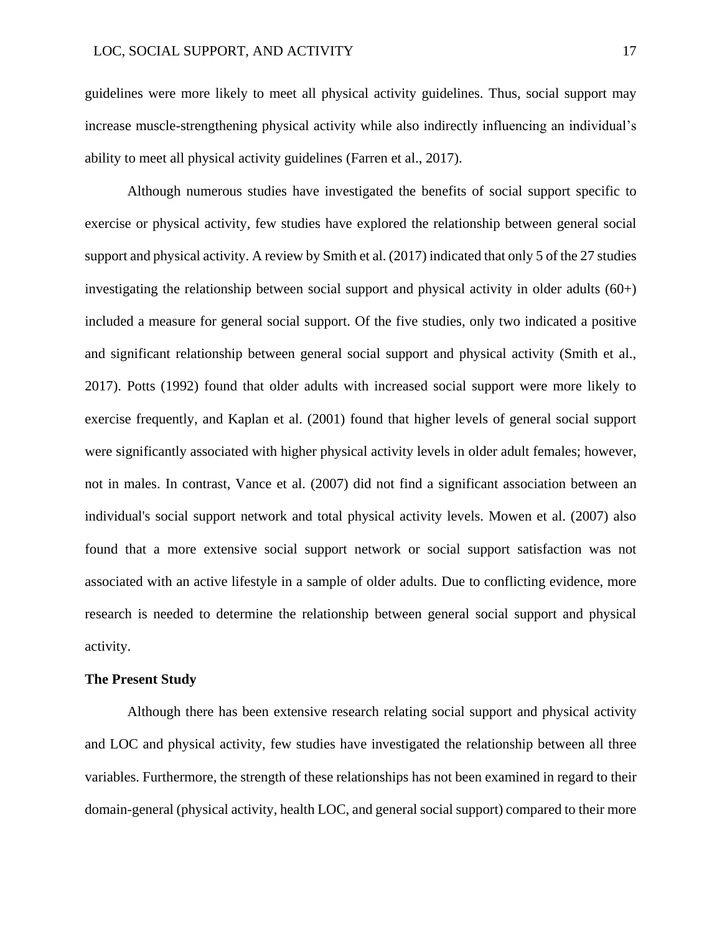guidelines were more likely to meet all physical activity guidelines. Thus, social support may increase muscle-strengthening physical activity while also indirectly influencing an individual's ability to meet all physical activity guidelines (Farren et al., 2017).

Although numerous studies have investigated the benefits of social support specific to exercise or physical activity, few studies have explored the relationship between general social support and physical activity. A review by Smith et al. (2017) indicated that only 5 of the 27 studies investigating the relationship between social support and physical activity in older adults (60+) included a measure for general social support. Of the five studies, only two indicated a positive and significant relationship between general social support and physical activity (Smith et al., 2017). Potts (1992) found that older adults with increased social support were more likely to exercise frequently, and Kaplan et al. (2001) found that higher levels of general social support were significantly associated with higher physical activity levels in older adult females; however, not in males. In contrast, Vance et al. (2007) did not find a significant association between an individual's social support network and total physical activity levels. Mowen et al. (2007) also found that a more extensive social support network or social support satisfaction was not associated with an active lifestyle in a sample of older adults. Due to conflicting evidence, more research is needed to determine the relationship between general social support and physical activity.

#### **The Present Study**

Although there has been extensive research relating social support and physical activity and LOC and physical activity, few studies have investigated the relationship between all three variables. Furthermore, the strength of these relationships has not been examined in regard to their domain-general (physical activity, health LOC, and general social support) compared to their more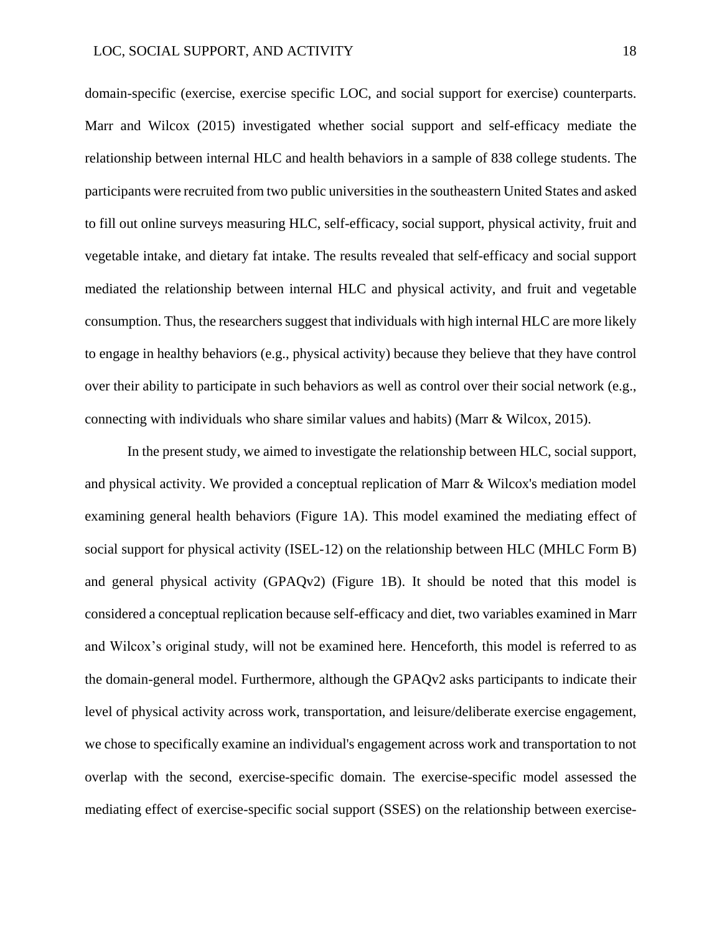domain-specific (exercise, exercise specific LOC, and social support for exercise) counterparts. Marr and Wilcox (2015) investigated whether social support and self-efficacy mediate the relationship between internal HLC and health behaviors in a sample of 838 college students. The participants were recruited from two public universities in the southeastern United States and asked to fill out online surveys measuring HLC, self-efficacy, social support, physical activity, fruit and vegetable intake, and dietary fat intake. The results revealed that self-efficacy and social support mediated the relationship between internal HLC and physical activity, and fruit and vegetable consumption. Thus, the researchers suggest that individuals with high internal HLC are more likely to engage in healthy behaviors (e.g., physical activity) because they believe that they have control over their ability to participate in such behaviors as well as control over their social network (e.g., connecting with individuals who share similar values and habits) (Marr & Wilcox, 2015).

In the present study, we aimed to investigate the relationship between HLC, social support, and physical activity. We provided a conceptual replication of Marr & Wilcox's mediation model examining general health behaviors (Figure 1A). This model examined the mediating effect of social support for physical activity (ISEL-12) on the relationship between HLC (MHLC Form B) and general physical activity (GPAQv2) (Figure 1B). It should be noted that this model is considered a conceptual replication because self-efficacy and diet, two variables examined in Marr and Wilcox's original study, will not be examined here. Henceforth, this model is referred to as the domain-general model. Furthermore, although the GPAQv2 asks participants to indicate their level of physical activity across work, transportation, and leisure/deliberate exercise engagement, we chose to specifically examine an individual's engagement across work and transportation to not overlap with the second, exercise-specific domain. The exercise-specific model assessed the mediating effect of exercise-specific social support (SSES) on the relationship between exercise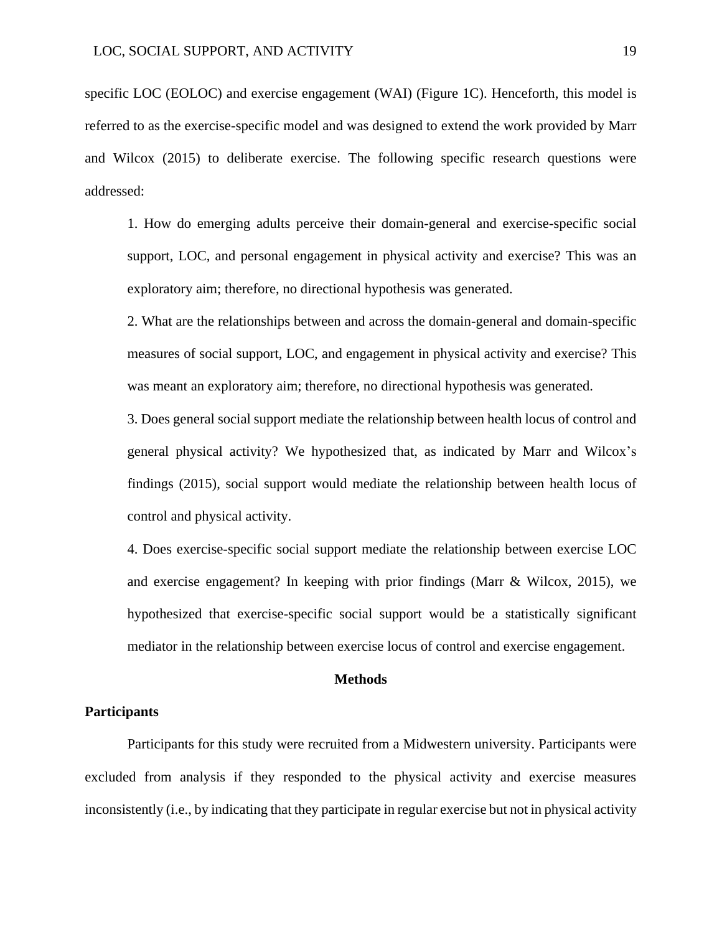specific LOC (EOLOC) and exercise engagement (WAI) (Figure 1C). Henceforth, this model is referred to as the exercise-specific model and was designed to extend the work provided by Marr and Wilcox (2015) to deliberate exercise. The following specific research questions were addressed:

1. How do emerging adults perceive their domain-general and exercise-specific social support, LOC, and personal engagement in physical activity and exercise? This was an exploratory aim; therefore, no directional hypothesis was generated.

2. What are the relationships between and across the domain-general and domain-specific measures of social support, LOC, and engagement in physical activity and exercise? This was meant an exploratory aim; therefore, no directional hypothesis was generated.

3. Does general social support mediate the relationship between health locus of control and general physical activity? We hypothesized that, as indicated by Marr and Wilcox's findings (2015), social support would mediate the relationship between health locus of control and physical activity.

4. Does exercise-specific social support mediate the relationship between exercise LOC and exercise engagement? In keeping with prior findings (Marr & Wilcox, 2015), we hypothesized that exercise-specific social support would be a statistically significant mediator in the relationship between exercise locus of control and exercise engagement.

#### **Methods**

#### **Participants**

Participants for this study were recruited from a Midwestern university. Participants were excluded from analysis if they responded to the physical activity and exercise measures inconsistently (i.e., by indicating that they participate in regular exercise but not in physical activity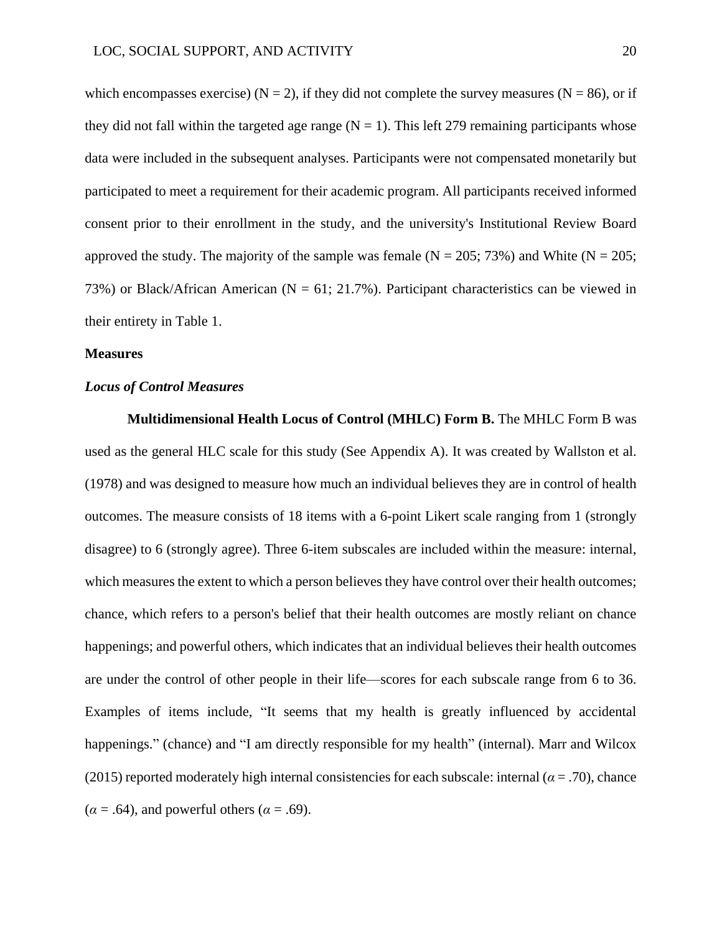which encompasses exercise) ( $N = 2$ ), if they did not complete the survey measures ( $N = 86$ ), or if they did not fall within the targeted age range  $(N = 1)$ . This left 279 remaining participants whose data were included in the subsequent analyses. Participants were not compensated monetarily but participated to meet a requirement for their academic program. All participants received informed consent prior to their enrollment in the study, and the university's Institutional Review Board approved the study. The majority of the sample was female  $(N = 205; 73%)$  and White  $(N = 205;$ 73%) or Black/African American ( $N = 61$ ; 21.7%). Participant characteristics can be viewed in their entirety in Table 1.

#### **Measures**

### *Locus of Control Measures*

**Multidimensional Health Locus of Control (MHLC) Form B.** The MHLC Form B was used as the general HLC scale for this study (See Appendix A). It was created by Wallston et al. (1978) and was designed to measure how much an individual believes they are in control of health outcomes. The measure consists of 18 items with a 6-point Likert scale ranging from 1 (strongly disagree) to 6 (strongly agree). Three 6-item subscales are included within the measure: internal, which measures the extent to which a person believes they have control over their health outcomes; chance, which refers to a person's belief that their health outcomes are mostly reliant on chance happenings; and powerful others, which indicates that an individual believes their health outcomes are under the control of other people in their life—scores for each subscale range from 6 to 36. Examples of items include, "It seems that my health is greatly influenced by accidental happenings." (chance) and "I am directly responsible for my health" (internal). Marr and Wilcox (2015) reported moderately high internal consistencies for each subscale: internal ( $\alpha$  = .70), chance  $(\alpha = .64)$ , and powerful others ( $\alpha = .69$ ).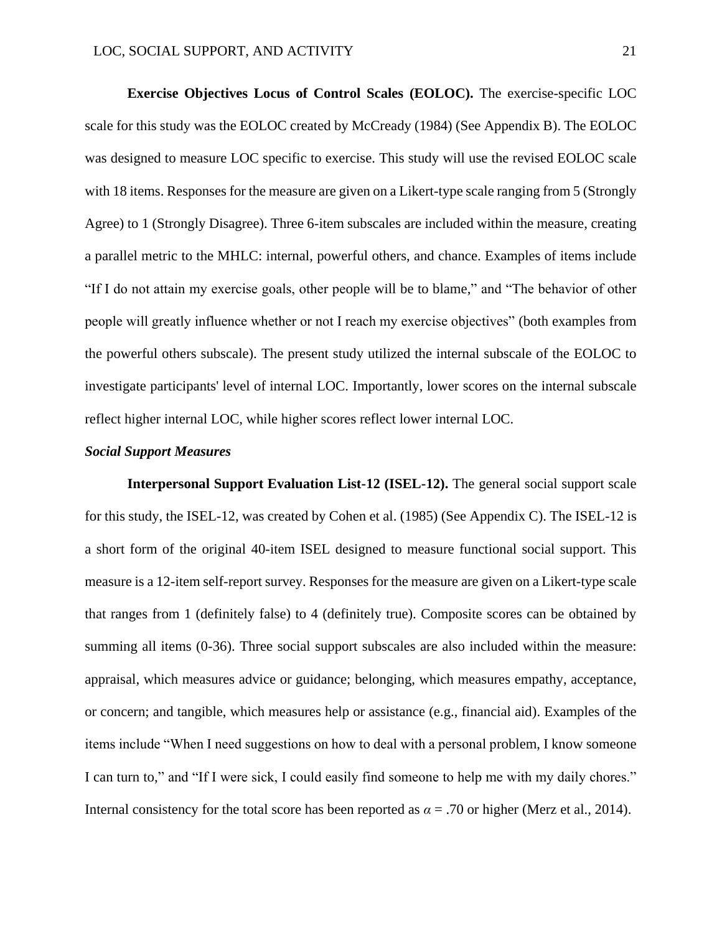**Exercise Objectives Locus of Control Scales (EOLOC).** The exercise-specific LOC scale for this study was the EOLOC created by McCready (1984) (See Appendix B). The EOLOC was designed to measure LOC specific to exercise. This study will use the revised EOLOC scale with 18 items. Responses for the measure are given on a Likert-type scale ranging from 5 (Strongly Agree) to 1 (Strongly Disagree). Three 6-item subscales are included within the measure, creating a parallel metric to the MHLC: internal, powerful others, and chance. Examples of items include "If I do not attain my exercise goals, other people will be to blame," and "The behavior of other people will greatly influence whether or not I reach my exercise objectives" (both examples from the powerful others subscale). The present study utilized the internal subscale of the EOLOC to investigate participants' level of internal LOC. Importantly, lower scores on the internal subscale reflect higher internal LOC, while higher scores reflect lower internal LOC.

#### *Social Support Measures*

**Interpersonal Support Evaluation List-12 (ISEL-12).** The general social support scale for this study, the ISEL-12, was created by Cohen et al. (1985) (See Appendix C). The ISEL-12 is a short form of the original 40-item ISEL designed to measure functional social support. This measure is a 12-item self-report survey. Responses for the measure are given on a Likert-type scale that ranges from 1 (definitely false) to 4 (definitely true). Composite scores can be obtained by summing all items (0-36). Three social support subscales are also included within the measure: appraisal, which measures advice or guidance; belonging, which measures empathy, acceptance, or concern; and tangible, which measures help or assistance (e.g., financial aid). Examples of the items include "When I need suggestions on how to deal with a personal problem, I know someone I can turn to," and "If I were sick, I could easily find someone to help me with my daily chores." Internal consistency for the total score has been reported as  $\alpha = .70$  or higher (Merz et al., 2014).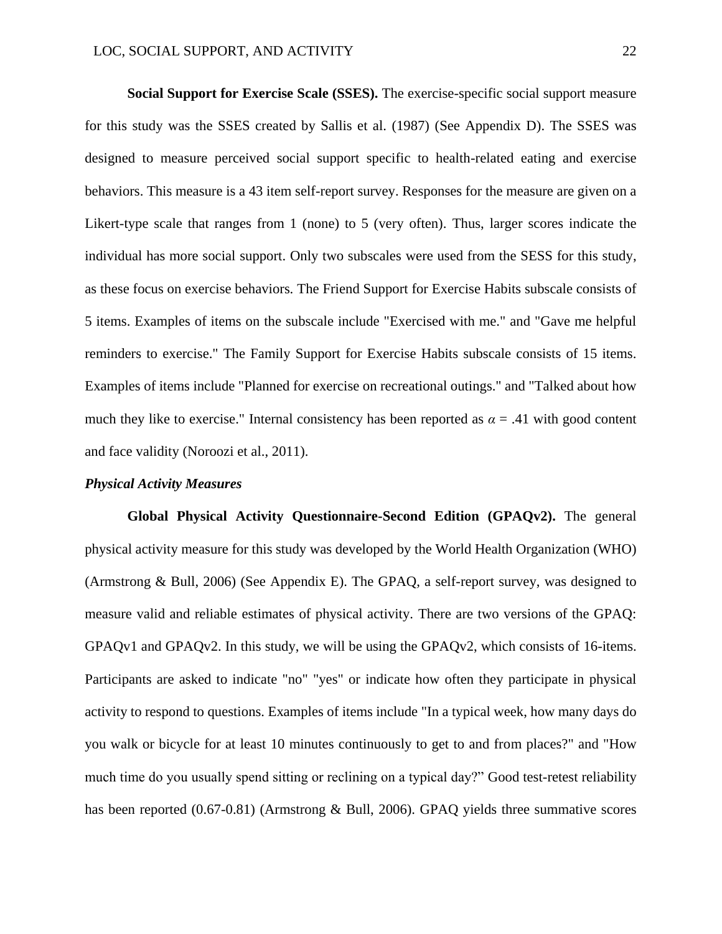**Social Support for Exercise Scale (SSES).** The exercise-specific social support measure for this study was the SSES created by Sallis et al. (1987) (See Appendix D). The SSES was designed to measure perceived social support specific to health-related eating and exercise behaviors. This measure is a 43 item self-report survey. Responses for the measure are given on a Likert-type scale that ranges from 1 (none) to 5 (very often). Thus, larger scores indicate the individual has more social support. Only two subscales were used from the SESS for this study, as these focus on exercise behaviors. The Friend Support for Exercise Habits subscale consists of 5 items. Examples of items on the subscale include "Exercised with me." and "Gave me helpful reminders to exercise." The Family Support for Exercise Habits subscale consists of 15 items. Examples of items include "Planned for exercise on recreational outings." and "Talked about how much they like to exercise." Internal consistency has been reported as  $\alpha = .41$  with good content and face validity (Noroozi et al., 2011).

#### *Physical Activity Measures*

**Global Physical Activity Questionnaire-Second Edition (GPAQv2).** The general physical activity measure for this study was developed by the World Health Organization (WHO) (Armstrong & Bull, 2006) (See Appendix E). The GPAQ, a self-report survey, was designed to measure valid and reliable estimates of physical activity. There are two versions of the GPAQ: GPAQv1 and GPAQv2. In this study, we will be using the GPAQv2, which consists of 16-items. Participants are asked to indicate "no" "yes" or indicate how often they participate in physical activity to respond to questions. Examples of items include "In a typical week, how many days do you walk or bicycle for at least 10 minutes continuously to get to and from places?" and "How much time do you usually spend sitting or reclining on a typical day?" Good test-retest reliability has been reported (0.67-0.81) (Armstrong & Bull, 2006). GPAQ yields three summative scores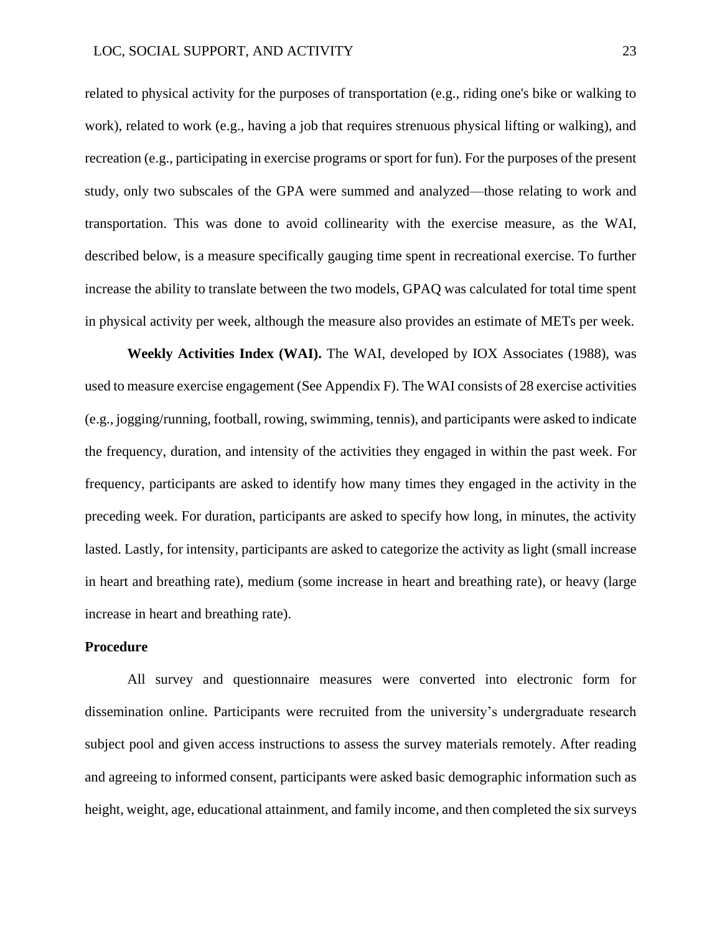related to physical activity for the purposes of transportation (e.g., riding one's bike or walking to work), related to work (e.g., having a job that requires strenuous physical lifting or walking), and recreation (e.g., participating in exercise programs or sport for fun). For the purposes of the present study, only two subscales of the GPA were summed and analyzed—those relating to work and transportation. This was done to avoid collinearity with the exercise measure, as the WAI, described below, is a measure specifically gauging time spent in recreational exercise. To further increase the ability to translate between the two models, GPAQ was calculated for total time spent in physical activity per week, although the measure also provides an estimate of METs per week.

**Weekly Activities Index (WAI).** The WAI, developed by IOX Associates (1988), was used to measure exercise engagement (See Appendix F). The WAI consists of 28 exercise activities (e.g., jogging/running, football, rowing, swimming, tennis), and participants were asked to indicate the frequency, duration, and intensity of the activities they engaged in within the past week. For frequency, participants are asked to identify how many times they engaged in the activity in the preceding week. For duration, participants are asked to specify how long, in minutes, the activity lasted. Lastly, for intensity, participants are asked to categorize the activity as light (small increase in heart and breathing rate), medium (some increase in heart and breathing rate), or heavy (large increase in heart and breathing rate).

#### **Procedure**

All survey and questionnaire measures were converted into electronic form for dissemination online. Participants were recruited from the university's undergraduate research subject pool and given access instructions to assess the survey materials remotely. After reading and agreeing to informed consent, participants were asked basic demographic information such as height, weight, age, educational attainment, and family income, and then completed the six surveys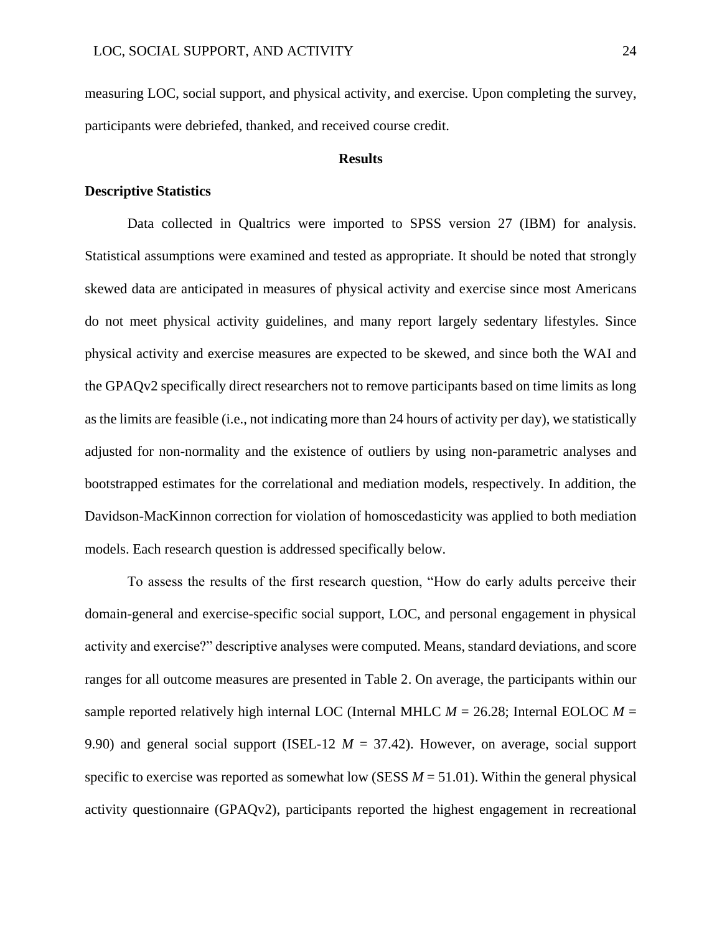measuring LOC, social support, and physical activity, and exercise. Upon completing the survey, participants were debriefed, thanked, and received course credit.

#### **Results**

#### **Descriptive Statistics**

Data collected in Qualtrics were imported to SPSS version 27 (IBM) for analysis. Statistical assumptions were examined and tested as appropriate. It should be noted that strongly skewed data are anticipated in measures of physical activity and exercise since most Americans do not meet physical activity guidelines, and many report largely sedentary lifestyles. Since physical activity and exercise measures are expected to be skewed, and since both the WAI and the GPAQv2 specifically direct researchers not to remove participants based on time limits as long as the limits are feasible (i.e., not indicating more than 24 hours of activity per day), we statistically adjusted for non-normality and the existence of outliers by using non-parametric analyses and bootstrapped estimates for the correlational and mediation models, respectively. In addition, the Davidson-MacKinnon correction for violation of homoscedasticity was applied to both mediation models. Each research question is addressed specifically below.

To assess the results of the first research question, "How do early adults perceive their domain-general and exercise-specific social support, LOC, and personal engagement in physical activity and exercise?" descriptive analyses were computed. Means, standard deviations, and score ranges for all outcome measures are presented in Table 2. On average, the participants within our sample reported relatively high internal LOC (Internal MHLC  $M = 26.28$ ; Internal EOLOC  $M =$ 9.90) and general social support (ISEL-12 *M* = 37.42). However, on average, social support specific to exercise was reported as somewhat low (SESS  $M = 51.01$ ). Within the general physical activity questionnaire (GPAQv2), participants reported the highest engagement in recreational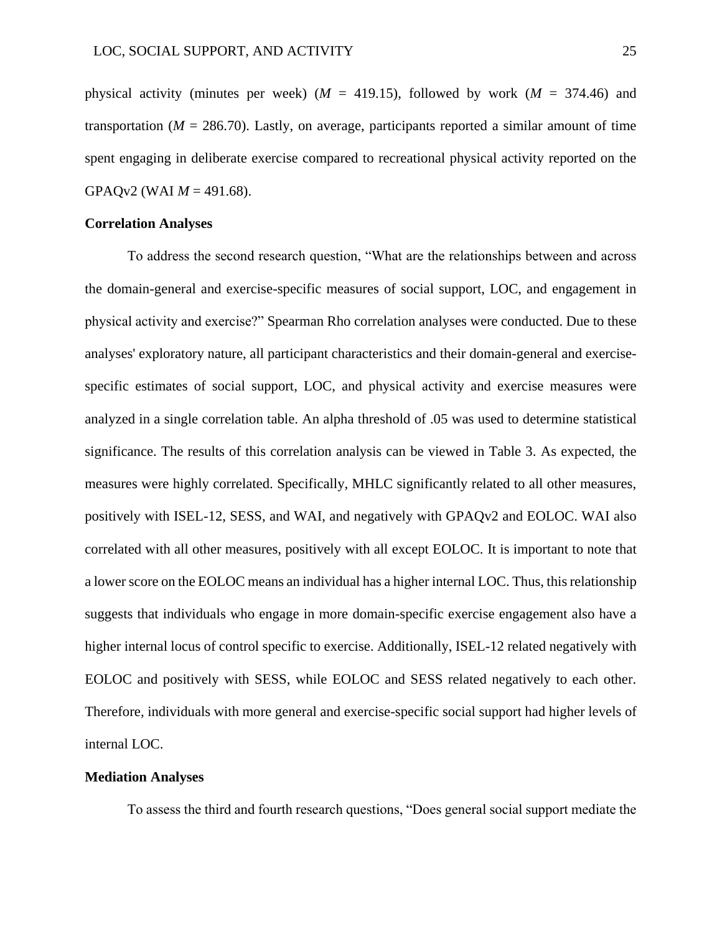physical activity (minutes per week) ( $M = 419.15$ ), followed by work ( $M = 374.46$ ) and transportation ( $M = 286.70$ ). Lastly, on average, participants reported a similar amount of time spent engaging in deliberate exercise compared to recreational physical activity reported on the GPAQv2 (WAI  $M = 491.68$ ).

#### **Correlation Analyses**

To address the second research question, "What are the relationships between and across the domain-general and exercise-specific measures of social support, LOC, and engagement in physical activity and exercise?" Spearman Rho correlation analyses were conducted. Due to these analyses' exploratory nature, all participant characteristics and their domain-general and exercisespecific estimates of social support, LOC, and physical activity and exercise measures were analyzed in a single correlation table. An alpha threshold of .05 was used to determine statistical significance. The results of this correlation analysis can be viewed in Table 3. As expected, the measures were highly correlated. Specifically, MHLC significantly related to all other measures, positively with ISEL-12, SESS, and WAI, and negatively with GPAQv2 and EOLOC. WAI also correlated with all other measures, positively with all except EOLOC. It is important to note that a lower score on the EOLOC means an individual has a higher internal LOC. Thus, this relationship suggests that individuals who engage in more domain-specific exercise engagement also have a higher internal locus of control specific to exercise. Additionally, ISEL-12 related negatively with EOLOC and positively with SESS, while EOLOC and SESS related negatively to each other. Therefore, individuals with more general and exercise-specific social support had higher levels of internal LOC.

### **Mediation Analyses**

To assess the third and fourth research questions, "Does general social support mediate the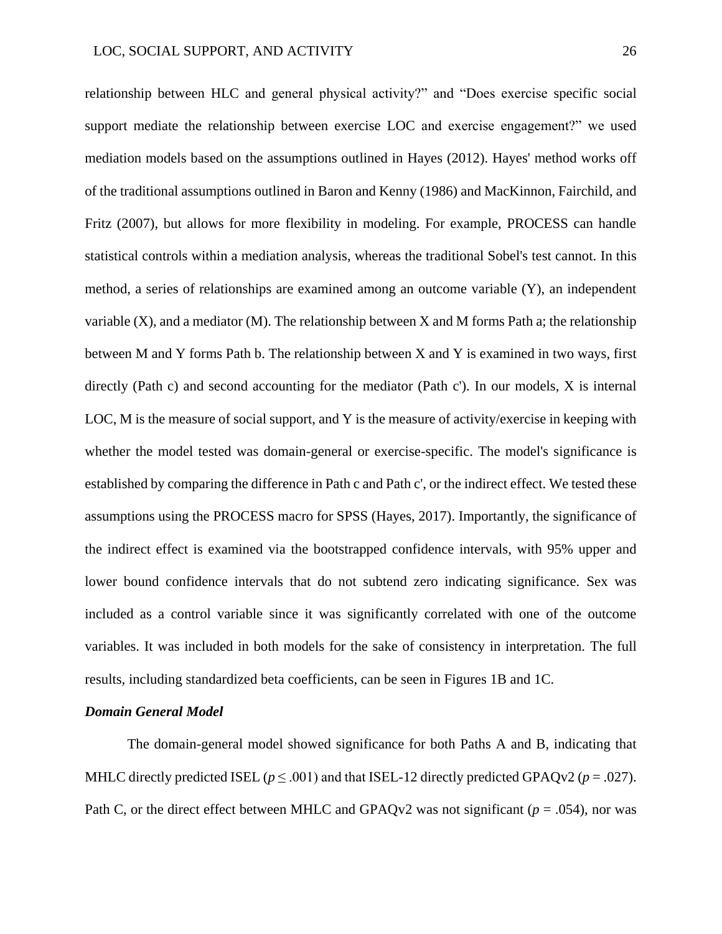relationship between HLC and general physical activity?" and "Does exercise specific social support mediate the relationship between exercise LOC and exercise engagement?" we used mediation models based on the assumptions outlined in Hayes (2012). Hayes' method works off of the traditional assumptions outlined in Baron and Kenny (1986) and MacKinnon, Fairchild, and Fritz (2007), but allows for more flexibility in modeling. For example, PROCESS can handle statistical controls within a mediation analysis, whereas the traditional Sobel's test cannot. In this method, a series of relationships are examined among an outcome variable (Y), an independent variable  $(X)$ , and a mediator  $(M)$ . The relationship between X and M forms Path a; the relationship between M and Y forms Path b. The relationship between X and Y is examined in two ways, first directly (Path c) and second accounting for the mediator (Path c'). In our models, X is internal LOC, M is the measure of social support, and Y is the measure of activity/exercise in keeping with whether the model tested was domain-general or exercise-specific. The model's significance is established by comparing the difference in Path c and Path c', or the indirect effect. We tested these assumptions using the PROCESS macro for SPSS (Hayes, 2017). Importantly, the significance of the indirect effect is examined via the bootstrapped confidence intervals, with 95% upper and lower bound confidence intervals that do not subtend zero indicating significance. Sex was included as a control variable since it was significantly correlated with one of the outcome variables. It was included in both models for the sake of consistency in interpretation. The full results, including standardized beta coefficients, can be seen in Figures 1B and 1C.

#### *Domain General Model*

The domain-general model showed significance for both Paths A and B, indicating that MHLC directly predicted ISEL ( $p \leq .001$ ) and that ISEL-12 directly predicted GPAQv2 ( $p = .027$ ). Path C, or the direct effect between MHLC and GPAQv2 was not significant ( $p = .054$ ), nor was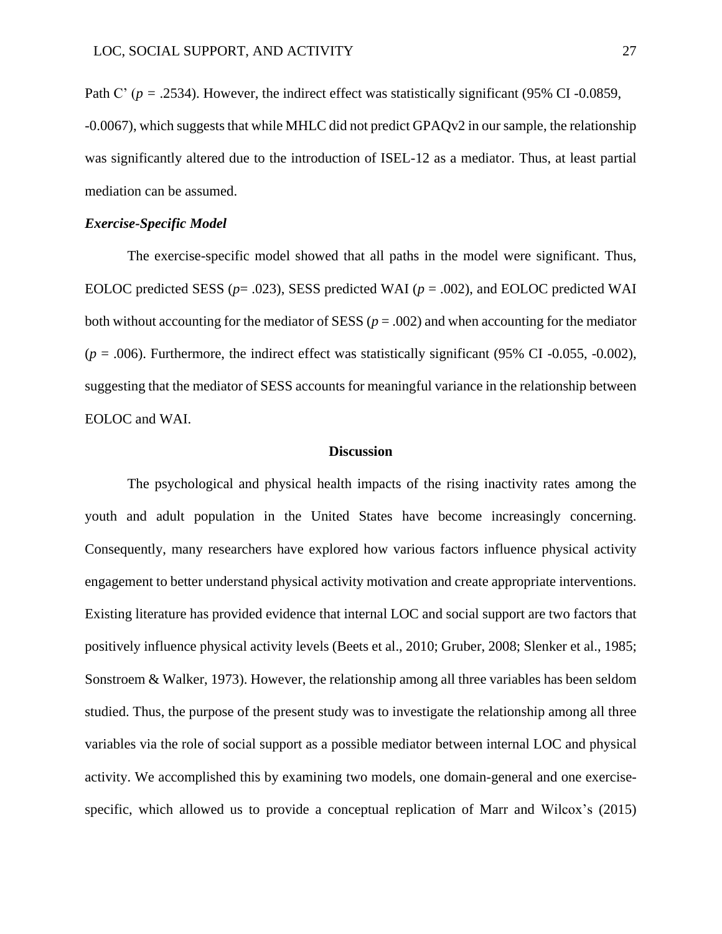Path C' (*p* = .2534). However, the indirect effect was statistically significant (95% CI -0.0859, -0.0067), which suggests that while MHLC did not predict GPAQv2 in our sample, the relationship was significantly altered due to the introduction of ISEL-12 as a mediator. Thus, at least partial mediation can be assumed.

#### *Exercise-Specific Model*

The exercise-specific model showed that all paths in the model were significant. Thus, EOLOC predicted SESS ( $p = .023$ ), SESS predicted WAI ( $p = .002$ ), and EOLOC predicted WAI both without accounting for the mediator of SESS ( $p = .002$ ) and when accounting for the mediator  $(p = .006)$ . Furthermore, the indirect effect was statistically significant (95% CI -0.055, -0.002), suggesting that the mediator of SESS accounts for meaningful variance in the relationship between EOLOC and WAI.

#### **Discussion**

The psychological and physical health impacts of the rising inactivity rates among the youth and adult population in the United States have become increasingly concerning. Consequently, many researchers have explored how various factors influence physical activity engagement to better understand physical activity motivation and create appropriate interventions. Existing literature has provided evidence that internal LOC and social support are two factors that positively influence physical activity levels (Beets et al., 2010; Gruber, 2008; Slenker et al., 1985; Sonstroem & Walker, 1973). However, the relationship among all three variables has been seldom studied. Thus, the purpose of the present study was to investigate the relationship among all three variables via the role of social support as a possible mediator between internal LOC and physical activity. We accomplished this by examining two models, one domain-general and one exercisespecific, which allowed us to provide a conceptual replication of Marr and Wilcox's (2015)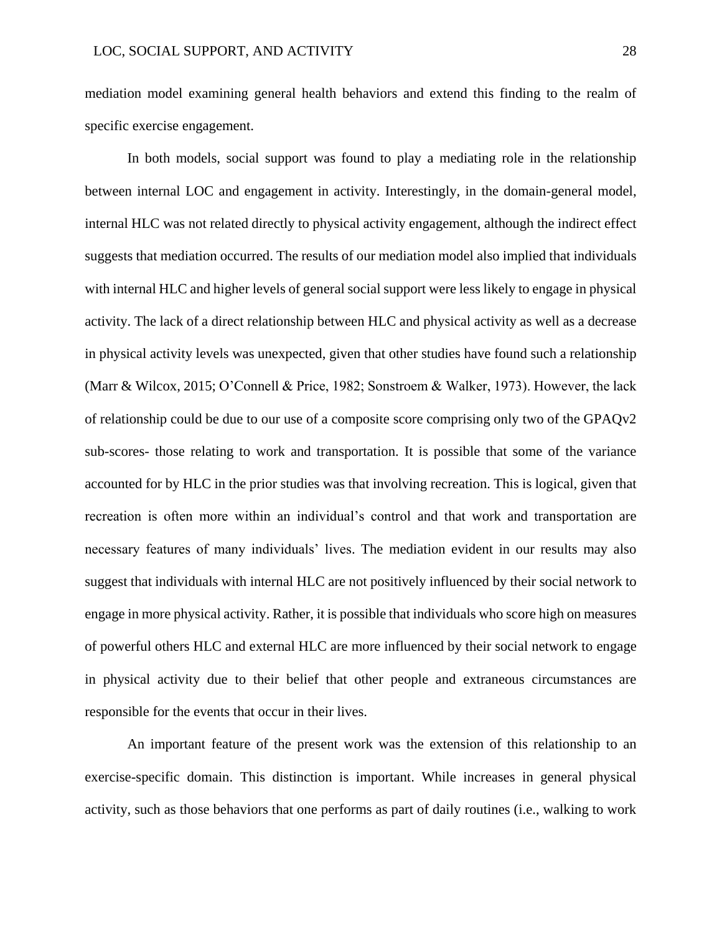mediation model examining general health behaviors and extend this finding to the realm of specific exercise engagement.

In both models, social support was found to play a mediating role in the relationship between internal LOC and engagement in activity. Interestingly, in the domain-general model, internal HLC was not related directly to physical activity engagement, although the indirect effect suggests that mediation occurred. The results of our mediation model also implied that individuals with internal HLC and higher levels of general social support were less likely to engage in physical activity. The lack of a direct relationship between HLC and physical activity as well as a decrease in physical activity levels was unexpected, given that other studies have found such a relationship (Marr & Wilcox, 2015; O'Connell & Price, 1982; Sonstroem & Walker, 1973). However, the lack of relationship could be due to our use of a composite score comprising only two of the GPAQv2 sub-scores- those relating to work and transportation. It is possible that some of the variance accounted for by HLC in the prior studies was that involving recreation. This is logical, given that recreation is often more within an individual's control and that work and transportation are necessary features of many individuals' lives. The mediation evident in our results may also suggest that individuals with internal HLC are not positively influenced by their social network to engage in more physical activity. Rather, it is possible that individuals who score high on measures of powerful others HLC and external HLC are more influenced by their social network to engage in physical activity due to their belief that other people and extraneous circumstances are responsible for the events that occur in their lives.

An important feature of the present work was the extension of this relationship to an exercise-specific domain. This distinction is important. While increases in general physical activity, such as those behaviors that one performs as part of daily routines (i.e., walking to work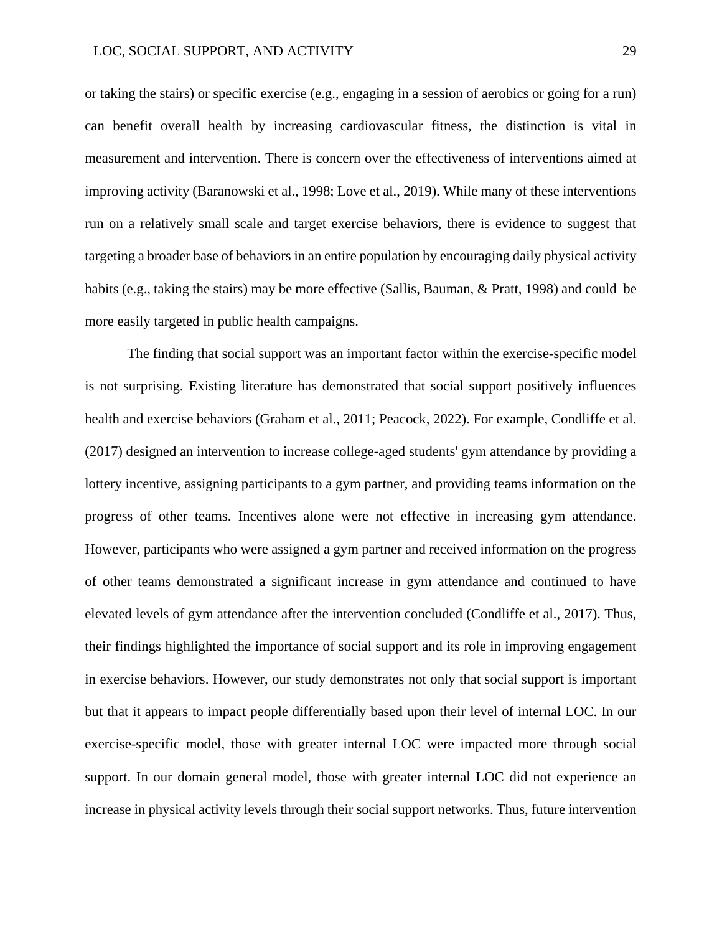or taking the stairs) or specific exercise (e.g., engaging in a session of aerobics or going for a run) can benefit overall health by increasing cardiovascular fitness, the distinction is vital in measurement and intervention. There is concern over the effectiveness of interventions aimed at improving activity (Baranowski et al., 1998; Love et al., 2019). While many of these interventions run on a relatively small scale and target exercise behaviors, there is evidence to suggest that targeting a broader base of behaviors in an entire population by encouraging daily physical activity habits (e.g., taking the stairs) may be more effective (Sallis, Bauman, & Pratt, 1998) and could be more easily targeted in public health campaigns.

The finding that social support was an important factor within the exercise-specific model is not surprising. Existing literature has demonstrated that social support positively influences health and exercise behaviors (Graham et al., 2011; Peacock, 2022). For example, Condliffe et al. (2017) designed an intervention to increase college-aged students' gym attendance by providing a lottery incentive, assigning participants to a gym partner, and providing teams information on the progress of other teams. Incentives alone were not effective in increasing gym attendance. However, participants who were assigned a gym partner and received information on the progress of other teams demonstrated a significant increase in gym attendance and continued to have elevated levels of gym attendance after the intervention concluded (Condliffe et al., 2017). Thus, their findings highlighted the importance of social support and its role in improving engagement in exercise behaviors. However, our study demonstrates not only that social support is important but that it appears to impact people differentially based upon their level of internal LOC. In our exercise-specific model, those with greater internal LOC were impacted more through social support. In our domain general model, those with greater internal LOC did not experience an increase in physical activity levels through their social support networks. Thus, future intervention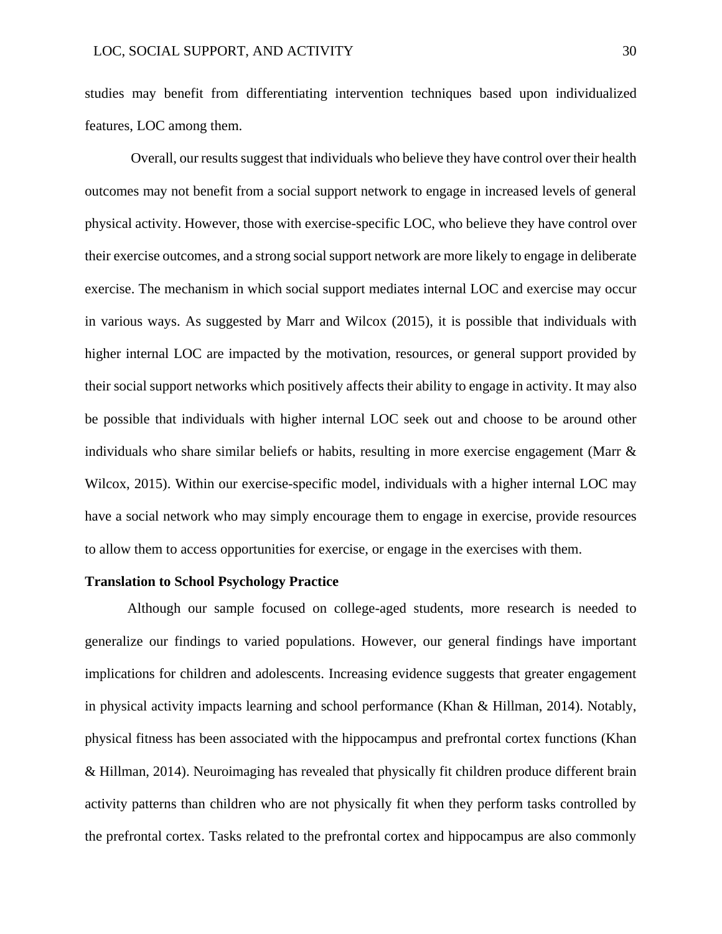studies may benefit from differentiating intervention techniques based upon individualized features, LOC among them.

Overall, our results suggest that individuals who believe they have control over their health outcomes may not benefit from a social support network to engage in increased levels of general physical activity. However, those with exercise-specific LOC, who believe they have control over their exercise outcomes, and a strong social support network are more likely to engage in deliberate exercise. The mechanism in which social support mediates internal LOC and exercise may occur in various ways. As suggested by Marr and Wilcox (2015), it is possible that individuals with higher internal LOC are impacted by the motivation, resources, or general support provided by their social support networks which positively affects their ability to engage in activity. It may also be possible that individuals with higher internal LOC seek out and choose to be around other individuals who share similar beliefs or habits, resulting in more exercise engagement (Marr  $\&$ Wilcox, 2015). Within our exercise-specific model, individuals with a higher internal LOC may have a social network who may simply encourage them to engage in exercise, provide resources to allow them to access opportunities for exercise, or engage in the exercises with them.

#### **Translation to School Psychology Practice**

Although our sample focused on college-aged students, more research is needed to generalize our findings to varied populations. However, our general findings have important implications for children and adolescents. Increasing evidence suggests that greater engagement in physical activity impacts learning and school performance (Khan & Hillman, 2014). Notably, physical fitness has been associated with the hippocampus and prefrontal cortex functions (Khan & Hillman, 2014). Neuroimaging has revealed that physically fit children produce different brain activity patterns than children who are not physically fit when they perform tasks controlled by the prefrontal cortex. Tasks related to the prefrontal cortex and hippocampus are also commonly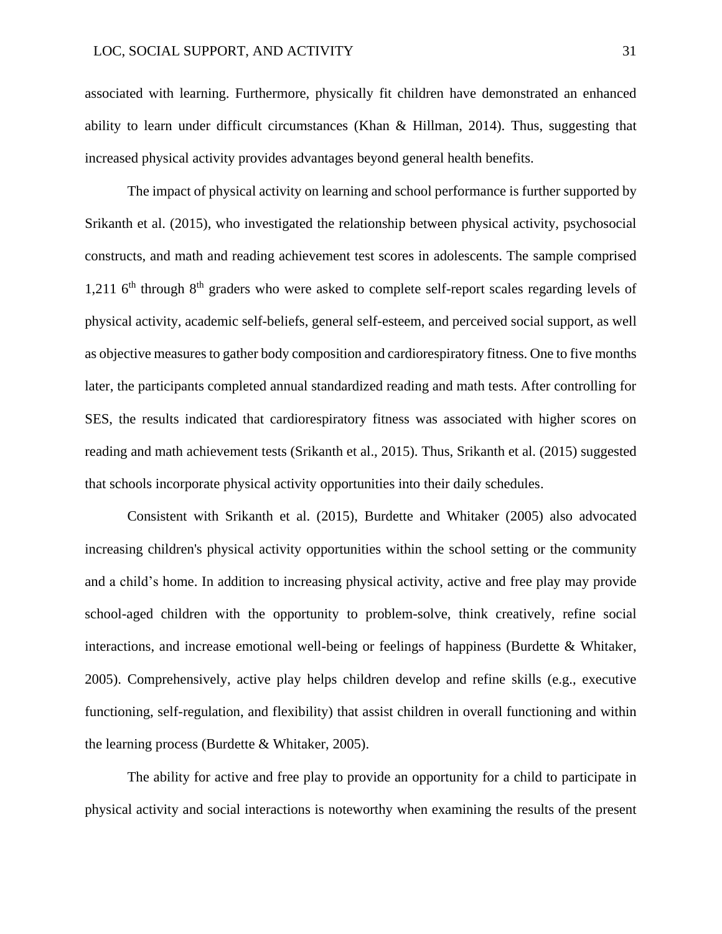associated with learning. Furthermore, physically fit children have demonstrated an enhanced ability to learn under difficult circumstances (Khan & Hillman, 2014). Thus, suggesting that increased physical activity provides advantages beyond general health benefits.

The impact of physical activity on learning and school performance is further supported by Srikanth et al. (2015), who investigated the relationship between physical activity, psychosocial constructs, and math and reading achievement test scores in adolescents. The sample comprised 1,211  $6<sup>th</sup>$  through  $8<sup>th</sup>$  graders who were asked to complete self-report scales regarding levels of physical activity, academic self-beliefs, general self-esteem, and perceived social support, as well as objective measures to gather body composition and cardiorespiratory fitness. One to five months later, the participants completed annual standardized reading and math tests. After controlling for SES, the results indicated that cardiorespiratory fitness was associated with higher scores on reading and math achievement tests (Srikanth et al., 2015). Thus, Srikanth et al. (2015) suggested that schools incorporate physical activity opportunities into their daily schedules.

Consistent with Srikanth et al. (2015), Burdette and Whitaker (2005) also advocated increasing children's physical activity opportunities within the school setting or the community and a child's home. In addition to increasing physical activity, active and free play may provide school-aged children with the opportunity to problem-solve, think creatively, refine social interactions, and increase emotional well-being or feelings of happiness (Burdette & Whitaker, 2005). Comprehensively, active play helps children develop and refine skills (e.g., executive functioning, self-regulation, and flexibility) that assist children in overall functioning and within the learning process (Burdette & Whitaker, 2005).

The ability for active and free play to provide an opportunity for a child to participate in physical activity and social interactions is noteworthy when examining the results of the present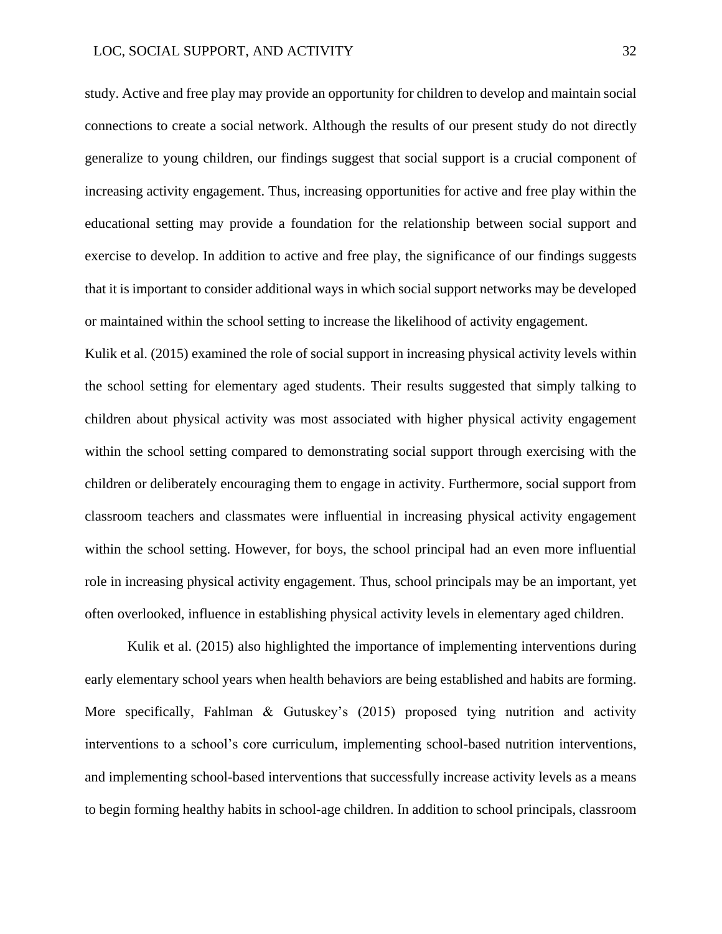study. Active and free play may provide an opportunity for children to develop and maintain social connections to create a social network. Although the results of our present study do not directly generalize to young children, our findings suggest that social support is a crucial component of increasing activity engagement. Thus, increasing opportunities for active and free play within the educational setting may provide a foundation for the relationship between social support and exercise to develop. In addition to active and free play, the significance of our findings suggests that it is important to consider additional ways in which social support networks may be developed or maintained within the school setting to increase the likelihood of activity engagement.

Kulik et al. (2015) examined the role of social support in increasing physical activity levels within the school setting for elementary aged students. Their results suggested that simply talking to children about physical activity was most associated with higher physical activity engagement within the school setting compared to demonstrating social support through exercising with the children or deliberately encouraging them to engage in activity. Furthermore, social support from classroom teachers and classmates were influential in increasing physical activity engagement within the school setting. However, for boys, the school principal had an even more influential role in increasing physical activity engagement. Thus, school principals may be an important, yet often overlooked, influence in establishing physical activity levels in elementary aged children.

Kulik et al. (2015) also highlighted the importance of implementing interventions during early elementary school years when health behaviors are being established and habits are forming. More specifically, Fahlman & Gutuskey's (2015) proposed tying nutrition and activity interventions to a school's core curriculum, implementing school-based nutrition interventions, and implementing school-based interventions that successfully increase activity levels as a means to begin forming healthy habits in school-age children. In addition to school principals, classroom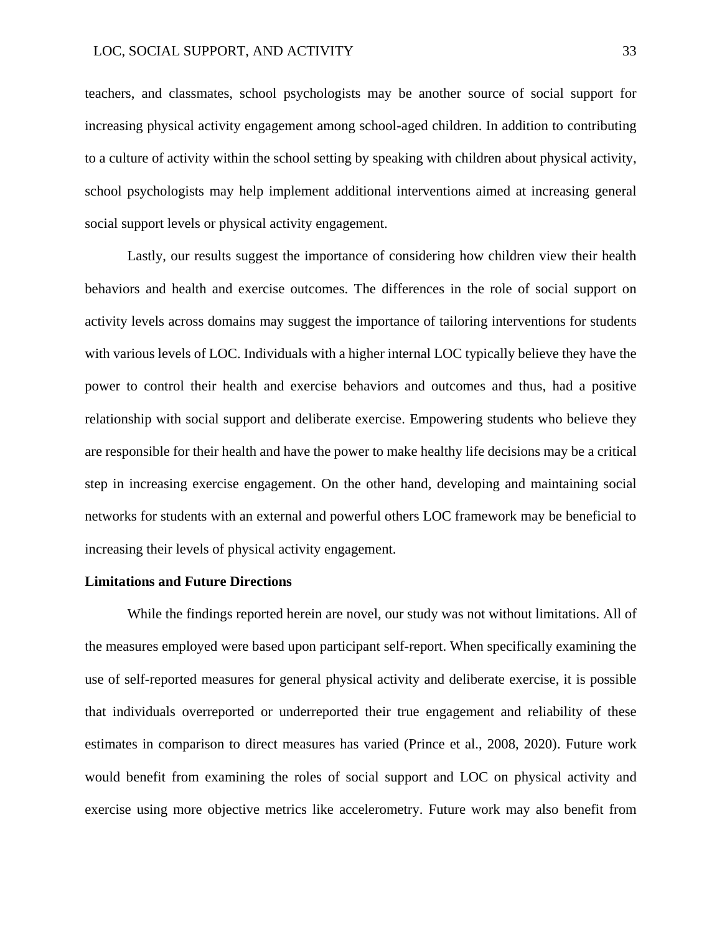teachers, and classmates, school psychologists may be another source of social support for increasing physical activity engagement among school-aged children. In addition to contributing to a culture of activity within the school setting by speaking with children about physical activity, school psychologists may help implement additional interventions aimed at increasing general social support levels or physical activity engagement.

Lastly, our results suggest the importance of considering how children view their health behaviors and health and exercise outcomes. The differences in the role of social support on activity levels across domains may suggest the importance of tailoring interventions for students with various levels of LOC. Individuals with a higher internal LOC typically believe they have the power to control their health and exercise behaviors and outcomes and thus, had a positive relationship with social support and deliberate exercise. Empowering students who believe they are responsible for their health and have the power to make healthy life decisions may be a critical step in increasing exercise engagement. On the other hand, developing and maintaining social networks for students with an external and powerful others LOC framework may be beneficial to increasing their levels of physical activity engagement.

#### **Limitations and Future Directions**

While the findings reported herein are novel, our study was not without limitations. All of the measures employed were based upon participant self-report. When specifically examining the use of self-reported measures for general physical activity and deliberate exercise, it is possible that individuals overreported or underreported their true engagement and reliability of these estimates in comparison to direct measures has varied (Prince et al., 2008, 2020). Future work would benefit from examining the roles of social support and LOC on physical activity and exercise using more objective metrics like accelerometry. Future work may also benefit from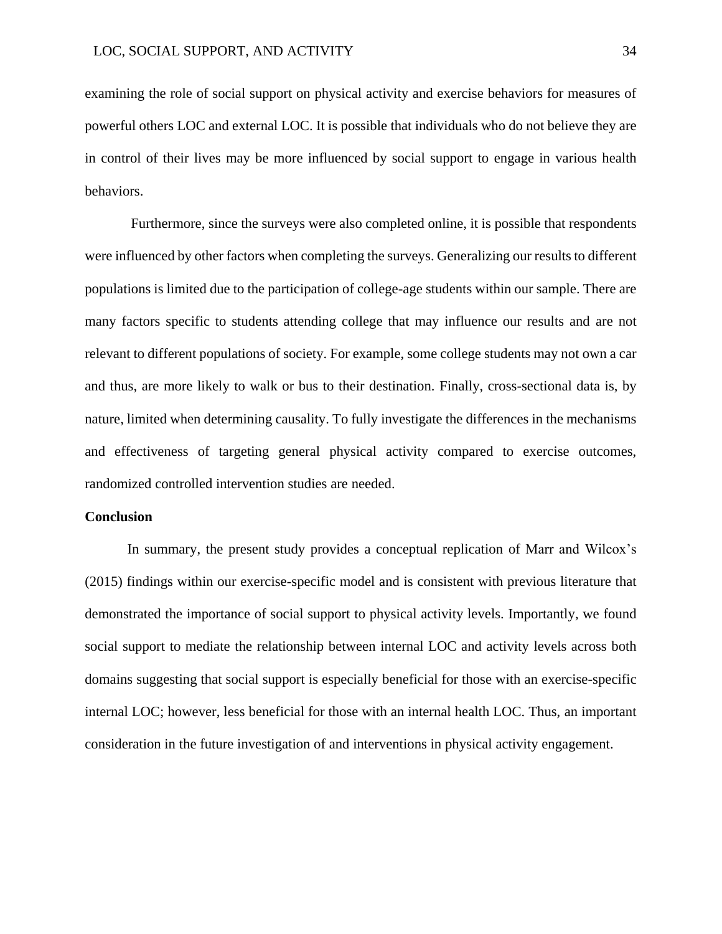examining the role of social support on physical activity and exercise behaviors for measures of powerful others LOC and external LOC. It is possible that individuals who do not believe they are in control of their lives may be more influenced by social support to engage in various health behaviors.

Furthermore, since the surveys were also completed online, it is possible that respondents were influenced by other factors when completing the surveys. Generalizing our results to different populations is limited due to the participation of college-age students within our sample. There are many factors specific to students attending college that may influence our results and are not relevant to different populations of society. For example, some college students may not own a car and thus, are more likely to walk or bus to their destination. Finally, cross-sectional data is, by nature, limited when determining causality. To fully investigate the differences in the mechanisms and effectiveness of targeting general physical activity compared to exercise outcomes, randomized controlled intervention studies are needed.

#### **Conclusion**

In summary, the present study provides a conceptual replication of Marr and Wilcox's (2015) findings within our exercise-specific model and is consistent with previous literature that demonstrated the importance of social support to physical activity levels. Importantly, we found social support to mediate the relationship between internal LOC and activity levels across both domains suggesting that social support is especially beneficial for those with an exercise-specific internal LOC; however, less beneficial for those with an internal health LOC. Thus, an important consideration in the future investigation of and interventions in physical activity engagement.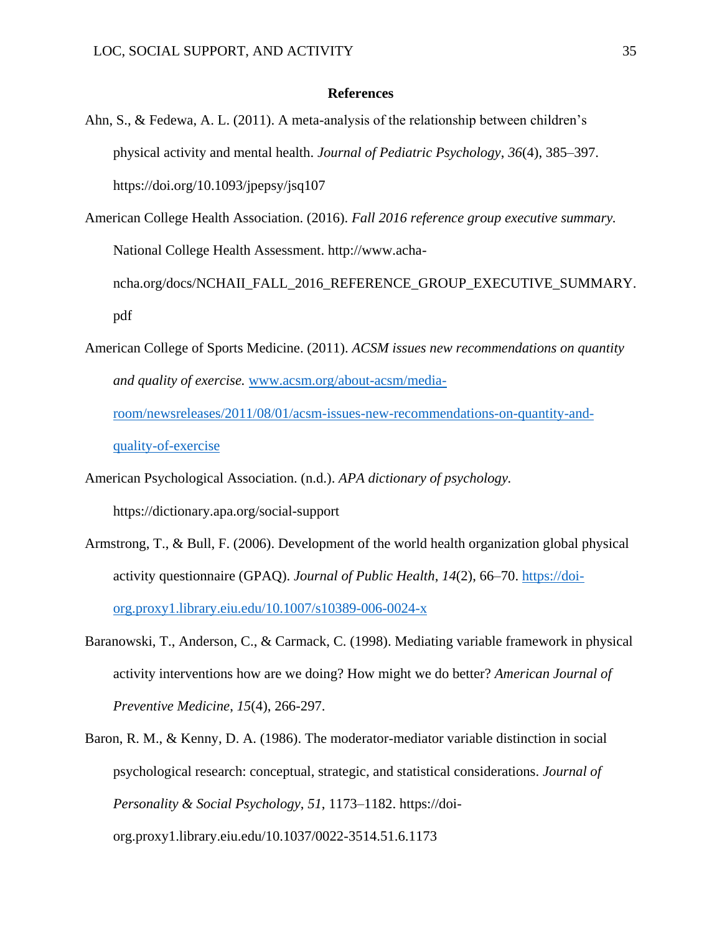#### **References**

- Ahn, S., & Fedewa, A. L. (2011). A meta-analysis of the relationship between children's physical activity and mental health. *Journal of Pediatric Psychology*, *36*(4), 385–397. https://doi.org/10.1093/jpepsy/jsq107
- American College Health Association. (2016). *Fall 2016 reference group executive summary.*  National College Health Assessment. http://www.achancha.org/docs/NCHAII\_FALL\_2016\_REFERENCE\_GROUP\_EXECUTIVE\_SUMMARY. pdf
- American College of Sports Medicine. (2011). *ACSM issues new recommendations on quantity and quality of exercise.* [www.acsm.org/about-acsm/media](http://www.acsm.org/about-acsm/media-room/newsreleases/2011/08/01/acsm-issues-new-recommendations-on-quantity-and-quality-of-exercise)[room/newsreleases/2011/08/01/acsm-issues-new-recommendations-on-quantity-and-](http://www.acsm.org/about-acsm/media-room/newsreleases/2011/08/01/acsm-issues-new-recommendations-on-quantity-and-quality-of-exercise)

[quality-of-exercise](http://www.acsm.org/about-acsm/media-room/newsreleases/2011/08/01/acsm-issues-new-recommendations-on-quantity-and-quality-of-exercise)

American Psychological Association. (n.d.). *APA dictionary of psychology.* https://dictionary.apa.org/social-support

- Armstrong, T., & Bull, F. (2006). Development of the world health organization global physical activity questionnaire (GPAQ). *Journal of Public Health*, *14*(2), 66–70. [https://doi](https://doi-org.proxy1.library.eiu.edu/10.1007/s10389-006-0024-x)[org.proxy1.library.eiu.edu/10.1007/s10389-006-0024-x](https://doi-org.proxy1.library.eiu.edu/10.1007/s10389-006-0024-x)
- Baranowski, T., Anderson, C., & Carmack, C. (1998). Mediating variable framework in physical activity interventions how are we doing? How might we do better? *American Journal of Preventive Medicine*, *15*(4), 266-297.
- Baron, R. M., & Kenny, D. A. (1986). The moderator-mediator variable distinction in social psychological research: conceptual, strategic, and statistical considerations. *Journal of Personality & Social Psychology*, *51*, 1173–1182. https://doiorg.proxy1.library.eiu.edu/10.1037/0022-3514.51.6.1173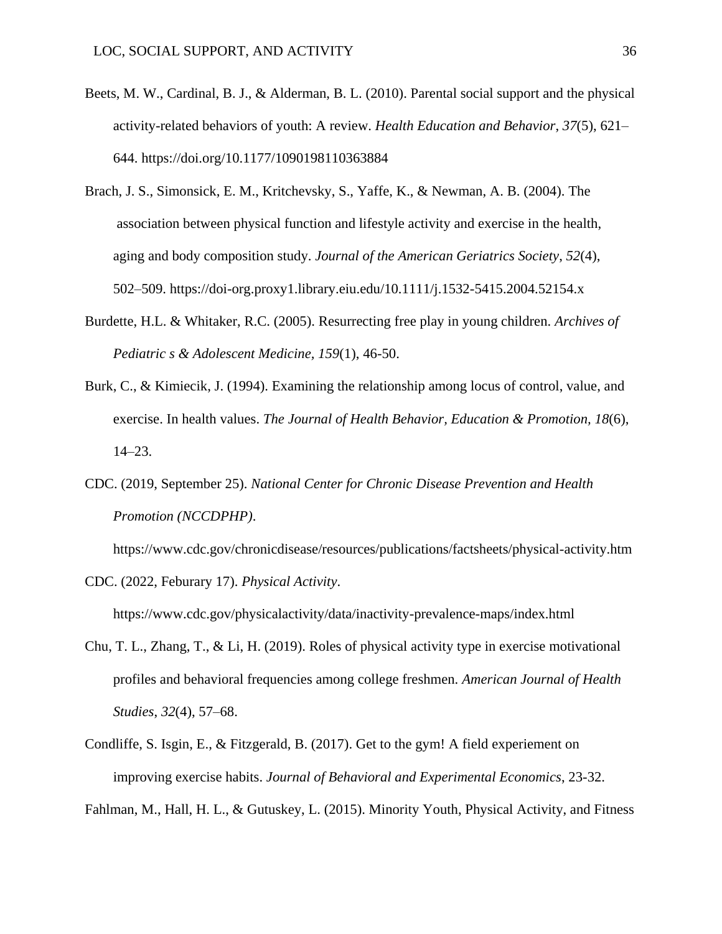- Beets, M. W., Cardinal, B. J., & Alderman, B. L. (2010). Parental social support and the physical activity-related behaviors of youth: A review. *Health Education and Behavior*, *37*(5), 621– 644. https://doi.org/10.1177/1090198110363884
- Brach, J. S., Simonsick, E. M., Kritchevsky, S., Yaffe, K., & Newman, A. B. (2004). The association between physical function and lifestyle activity and exercise in the health, aging and body composition study. *Journal of the American Geriatrics Society*, *52*(4), 502–509. https://doi-org.proxy1.library.eiu.edu/10.1111/j.1532-5415.2004.52154.x
- Burdette, H.L. & Whitaker, R.C. (2005). Resurrecting free play in young children. *Archives of Pediatric s & Adolescent Medicine, 159*(1), 46-50.
- Burk, C., & Kimiecik, J. (1994). Examining the relationship among locus of control, value, and exercise. In health values. *The Journal of Health Behavior, Education & Promotion, 18*(6), 14–23.
- CDC. (2019, September 25). *National Center for Chronic Disease Prevention and Health Promotion (NCCDPHP)*.

https://www.cdc.gov/chronicdisease/resources/publications/factsheets/physical-activity.htm

CDC. (2022, Feburary 17). *Physical Activity*.

https://www.cdc.gov/physicalactivity/data/inactivity-prevalence-maps/index.html

- Chu, T. L., Zhang, T., & Li, H. (2019). Roles of physical activity type in exercise motivational profiles and behavioral frequencies among college freshmen. *American Journal of Health Studies*, *32*(4), 57–68.
- Condliffe, S. Isgin, E., & Fitzgerald, B. (2017). Get to the gym! A field experiement on improving exercise habits. *Journal of Behavioral and Experimental Economics*, 23-32.

Fahlman, M., Hall, H. L., & Gutuskey, L. (2015). Minority Youth, Physical Activity, and Fitness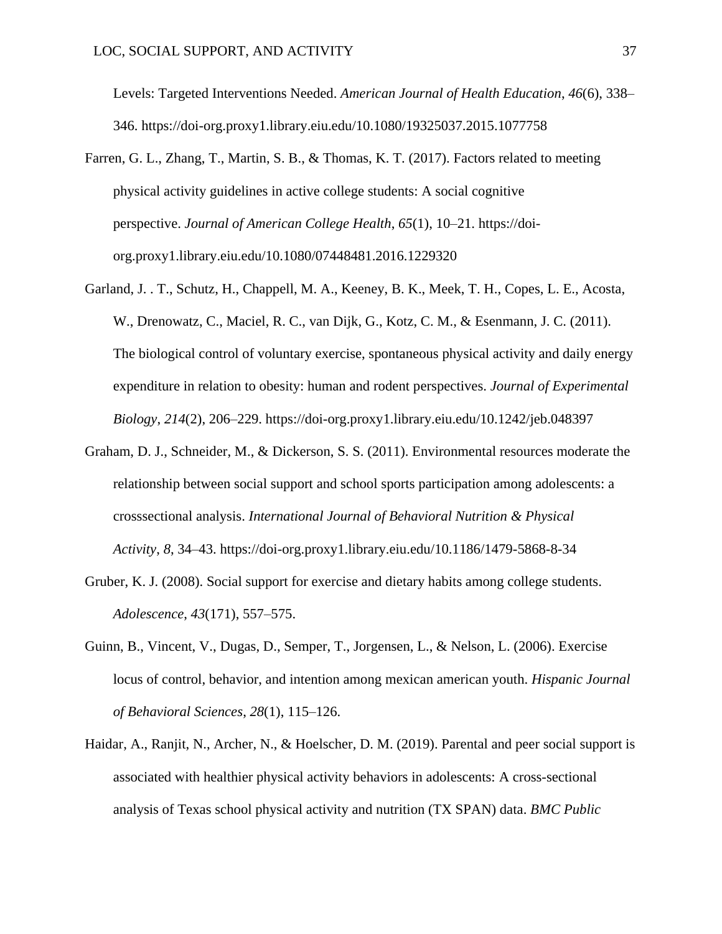Levels: Targeted Interventions Needed. *American Journal of Health Education*, *46*(6), 338– 346. https://doi-org.proxy1.library.eiu.edu/10.1080/19325037.2015.1077758

- Farren, G. L., Zhang, T., Martin, S. B., & Thomas, K. T. (2017). Factors related to meeting physical activity guidelines in active college students: A social cognitive perspective. *Journal of American College Health*, *65*(1), 10–21. https://doiorg.proxy1.library.eiu.edu/10.1080/07448481.2016.1229320
- Garland, J. . T., Schutz, H., Chappell, M. A., Keeney, B. K., Meek, T. H., Copes, L. E., Acosta, W., Drenowatz, C., Maciel, R. C., van Dijk, G., Kotz, C. M., & Esenmann, J. C. (2011). The biological control of voluntary exercise, spontaneous physical activity and daily energy expenditure in relation to obesity: human and rodent perspectives. *Journal of Experimental Biology*, *214*(2), 206–229. https://doi-org.proxy1.library.eiu.edu/10.1242/jeb.048397
- Graham, D. J., Schneider, M., & Dickerson, S. S. (2011). Environmental resources moderate the relationship between social support and school sports participation among adolescents: a crosssectional analysis. *International Journal of Behavioral Nutrition & Physical Activity*, *8*, 34–43. https://doi-org.proxy1.library.eiu.edu/10.1186/1479-5868-8-34
- Gruber, K. J. (2008). Social support for exercise and dietary habits among college students. *Adolescence*, *43*(171), 557–575.
- Guinn, B., Vincent, V., Dugas, D., Semper, T., Jorgensen, L., & Nelson, L. (2006). Exercise locus of control, behavior, and intention among mexican american youth. *Hispanic Journal of Behavioral Sciences*, *28*(1), 115–126.
- Haidar, A., Ranjit, N., Archer, N., & Hoelscher, D. M. (2019). Parental and peer social support is associated with healthier physical activity behaviors in adolescents: A cross-sectional analysis of Texas school physical activity and nutrition (TX SPAN) data. *BMC Public*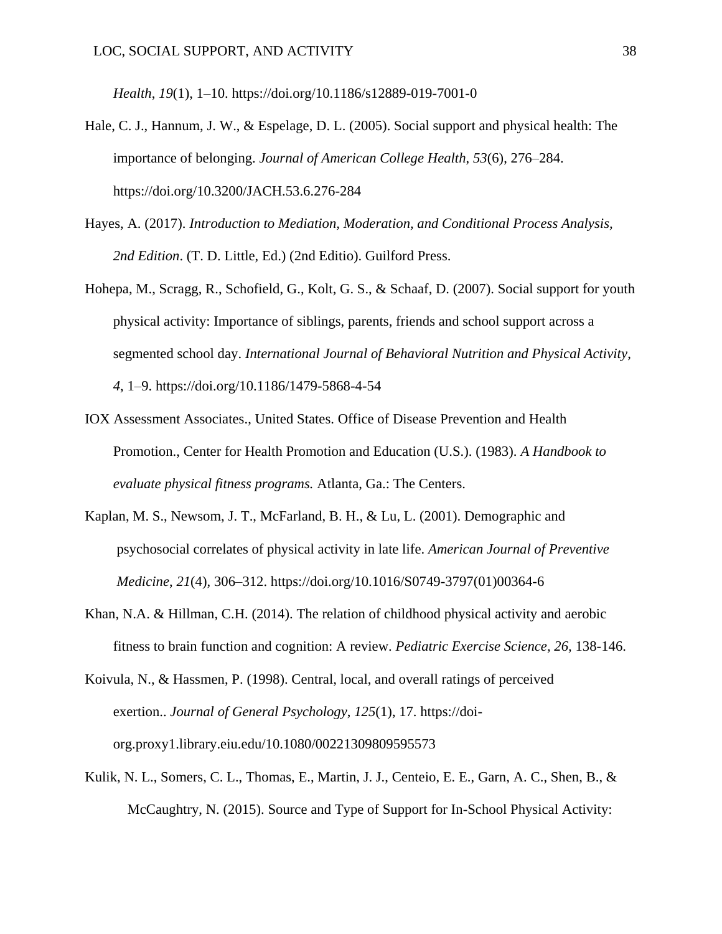*Health*, *19*(1), 1–10. https://doi.org/10.1186/s12889-019-7001-0

- Hale, C. J., Hannum, J. W., & Espelage, D. L. (2005). Social support and physical health: The importance of belonging. *Journal of American College Health*, *53*(6), 276–284. https://doi.org/10.3200/JACH.53.6.276-284
- Hayes, A. (2017). *Introduction to Mediation, Moderation, and Conditional Process Analysis, 2nd Edition*. (T. D. Little, Ed.) (2nd Editio). Guilford Press.
- Hohepa, M., Scragg, R., Schofield, G., Kolt, G. S., & Schaaf, D. (2007). Social support for youth physical activity: Importance of siblings, parents, friends and school support across a segmented school day. *International Journal of Behavioral Nutrition and Physical Activity*, *4*, 1–9. https://doi.org/10.1186/1479-5868-4-54
- IOX Assessment Associates., United States. Office of Disease Prevention and Health Promotion., Center for Health Promotion and Education (U.S.). (1983). *A Handbook to evaluate physical fitness programs.* Atlanta, Ga.: The Centers.
- Kaplan, M. S., Newsom, J. T., McFarland, B. H., & Lu, L. (2001). Demographic and psychosocial correlates of physical activity in late life. *American Journal of Preventive Medicine*, *21*(4), 306–312. https://doi.org/10.1016/S0749-3797(01)00364-6
- Khan, N.A. & Hillman, C.H. (2014). The relation of childhood physical activity and aerobic fitness to brain function and cognition: A review. *Pediatric Exercise Science, 26,* 138-146.

Koivula, N., & Hassmen, P. (1998). Central, local, and overall ratings of perceived exertion.. *Journal of General Psychology*, *125*(1), 17. https://doiorg.proxy1.library.eiu.edu/10.1080/00221309809595573

Kulik, N. L., Somers, C. L., Thomas, E., Martin, J. J., Centeio, E. E., Garn, A. C., Shen, B., & McCaughtry, N. (2015). Source and Type of Support for In-School Physical Activity: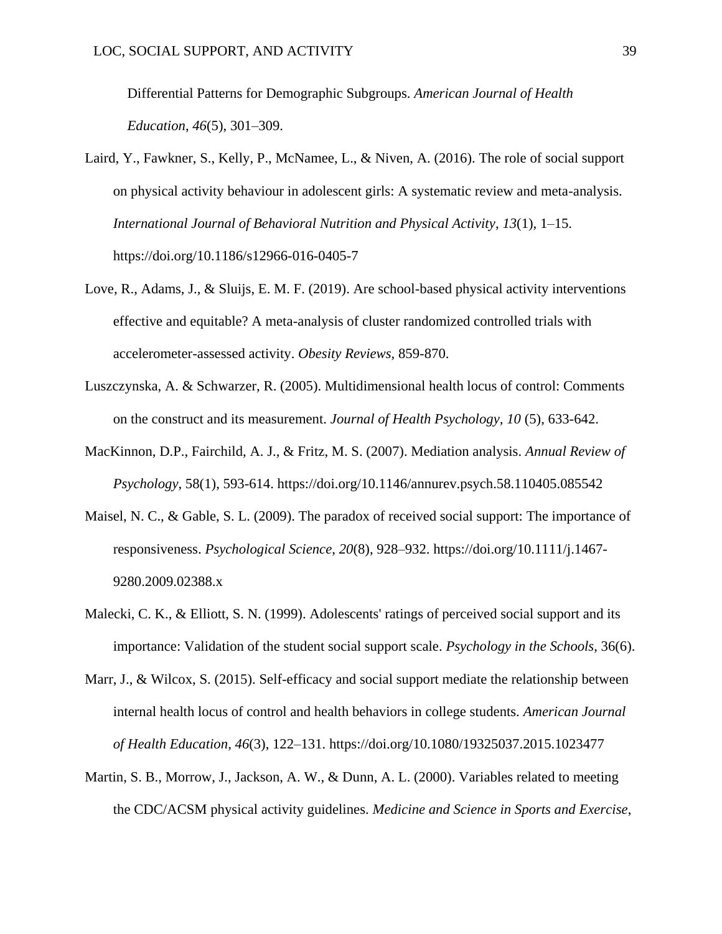Differential Patterns for Demographic Subgroups. *American Journal of Health Education*, *46*(5), 301–309.

- Laird, Y., Fawkner, S., Kelly, P., McNamee, L., & Niven, A. (2016). The role of social support on physical activity behaviour in adolescent girls: A systematic review and meta-analysis. *International Journal of Behavioral Nutrition and Physical Activity*, *13*(1), 1–15. https://doi.org/10.1186/s12966-016-0405-7
- Love, R., Adams, J., & Sluijs, E. M. F. (2019). Are school-based physical activity interventions effective and equitable? A meta-analysis of cluster randomized controlled trials with accelerometer-assessed activity. *Obesity Reviews*, 859-870.
- Luszczynska, A. & Schwarzer, R. (2005). Multidimensional health locus of control: Comments on the construct and its measurement. *Journal of Health Psychology, 10* (5), 633-642.
- MacKinnon, D.P., Fairchild, A. J., & Fritz, M. S. (2007). Mediation analysis. *Annual Review of Psychology*, 58(1), 593-614. https://doi.org/10.1146/annurev.psych.58.110405.085542
- Maisel, N. C., & Gable, S. L. (2009). The paradox of received social support: The importance of responsiveness. *Psychological Science*, *20*(8), 928–932. https://doi.org/10.1111/j.1467- 9280.2009.02388.x
- Malecki, C. K., & Elliott, S. N. (1999). Adolescents' ratings of perceived social support and its importance: Validation of the student social support scale. *Psychology in the Schools*, 36(6).
- Marr, J., & Wilcox, S. (2015). Self-efficacy and social support mediate the relationship between internal health locus of control and health behaviors in college students. *American Journal of Health Education*, *46*(3), 122–131. https://doi.org/10.1080/19325037.2015.1023477
- Martin, S. B., Morrow, J., Jackson, A. W., & Dunn, A. L. (2000). Variables related to meeting the CDC/ACSM physical activity guidelines. *Medicine and Science in Sports and Exercise*,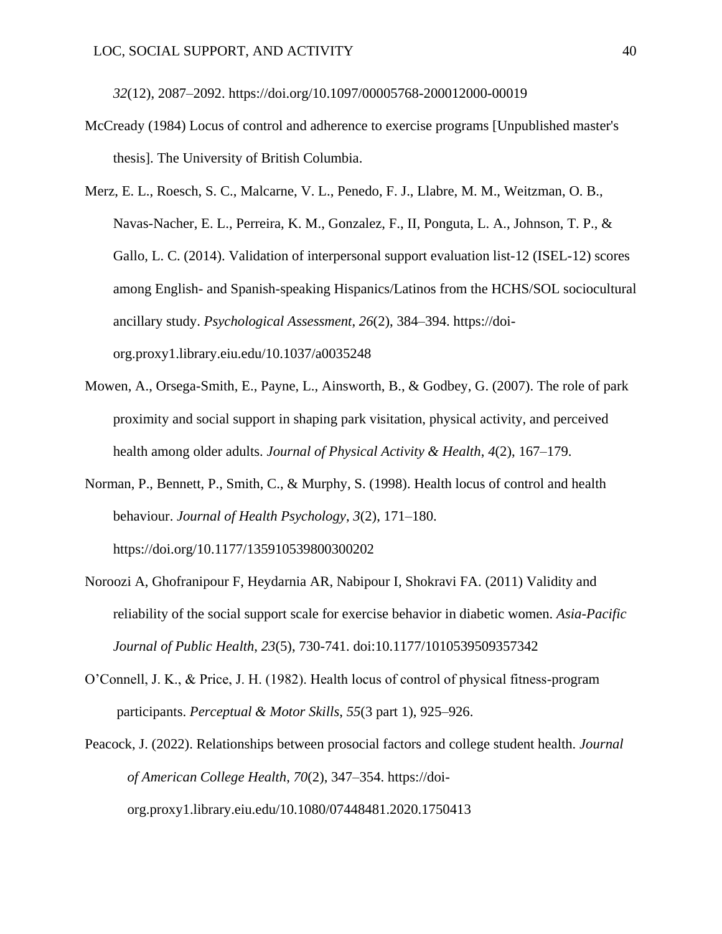*32*(12), 2087–2092. https://doi.org/10.1097/00005768-200012000-00019

- McCready (1984) Locus of control and adherence to exercise programs [Unpublished master's thesis]. The University of British Columbia.
- Merz, E. L., Roesch, S. C., Malcarne, V. L., Penedo, F. J., Llabre, M. M., Weitzman, O. B., Navas-Nacher, E. L., Perreira, K. M., Gonzalez, F., II, Ponguta, L. A., Johnson, T. P., & Gallo, L. C. (2014). Validation of interpersonal support evaluation list-12 (ISEL-12) scores among English- and Spanish-speaking Hispanics/Latinos from the HCHS/SOL sociocultural ancillary study. *Psychological Assessment*, *26*(2), 384–394. https://doiorg.proxy1.library.eiu.edu/10.1037/a0035248
- Mowen, A., Orsega-Smith, E., Payne, L., Ainsworth, B., & Godbey, G. (2007). The role of park proximity and social support in shaping park visitation, physical activity, and perceived health among older adults. *Journal of Physical Activity & Health*, *4*(2), 167–179.
- Norman, P., Bennett, P., Smith, C., & Murphy, S. (1998). Health locus of control and health behaviour. *Journal of Health Psychology*, *3*(2), 171–180. https://doi.org/10.1177/135910539800300202
- Noroozi A, Ghofranipour F, Heydarnia AR, Nabipour I, Shokravi FA. (2011) Validity and reliability of the social support scale for exercise behavior in diabetic women. *Asia-Pacific Journal of Public Health*, *23*(5), 730-741. doi:10.1177/1010539509357342
- O'Connell, J. K., & Price, J. H. (1982). Health locus of control of physical fitness-program participants. *Perceptual & Motor Skills*, *55*(3 part 1), 925–926.
- Peacock, J. (2022). Relationships between prosocial factors and college student health. *Journal of American College Health*, *70*(2), 347–354. https://doiorg.proxy1.library.eiu.edu/10.1080/07448481.2020.1750413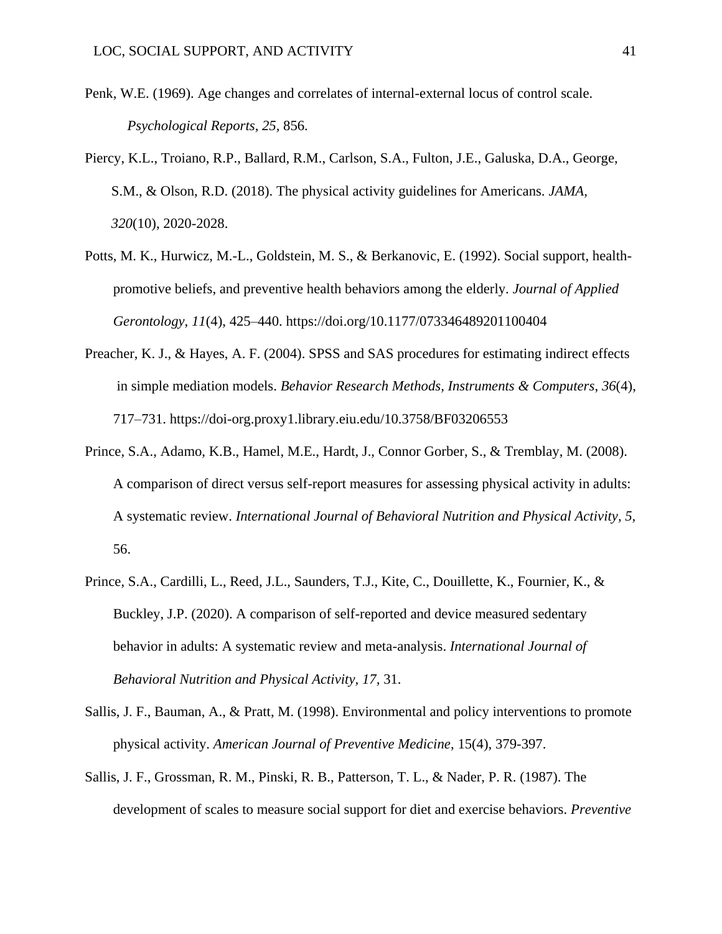- Penk, W.E. (1969). Age changes and correlates of internal-external locus of control scale. *Psychological Reports, 25,* 856.
- Piercy, K.L., Troiano, R.P., Ballard, R.M., Carlson, S.A., Fulton, J.E., Galuska, D.A., George, S.M., & Olson, R.D. (2018). The physical activity guidelines for Americans. *JAMA, 320*(10), 2020-2028.
- Potts, M. K., Hurwicz, M.-L., Goldstein, M. S., & Berkanovic, E. (1992). Social support, healthpromotive beliefs, and preventive health behaviors among the elderly. *Journal of Applied Gerontology*, *11*(4), 425–440. https://doi.org/10.1177/073346489201100404
- Preacher, K. J., & Hayes, A. F. (2004). SPSS and SAS procedures for estimating indirect effects in simple mediation models. *Behavior Research Methods, Instruments & Computers*, *36*(4), 717–731. https://doi-org.proxy1.library.eiu.edu/10.3758/BF03206553
- Prince, S.A., Adamo, K.B., Hamel, M.E., Hardt, J., Connor Gorber, S., & Tremblay, M. (2008). A comparison of direct versus self-report measures for assessing physical activity in adults: A systematic review. *International Journal of Behavioral Nutrition and Physical Activity, 5,*  56.
- Prince, S.A., Cardilli, L., Reed, J.L., Saunders, T.J., Kite, C., Douillette, K., Fournier, K., & Buckley, J.P. (2020). A comparison of self-reported and device measured sedentary behavior in adults: A systematic review and meta-analysis. *International Journal of Behavioral Nutrition and Physical Activity, 17,* 31.
- Sallis, J. F., Bauman, A., & Pratt, M. (1998). Environmental and policy interventions to promote physical activity. *American Journal of Preventive Medicine*, 15(4), 379-397.
- Sallis, J. F., Grossman, R. M., Pinski, R. B., Patterson, T. L., & Nader, P. R. (1987). The development of scales to measure social support for diet and exercise behaviors. *Preventive*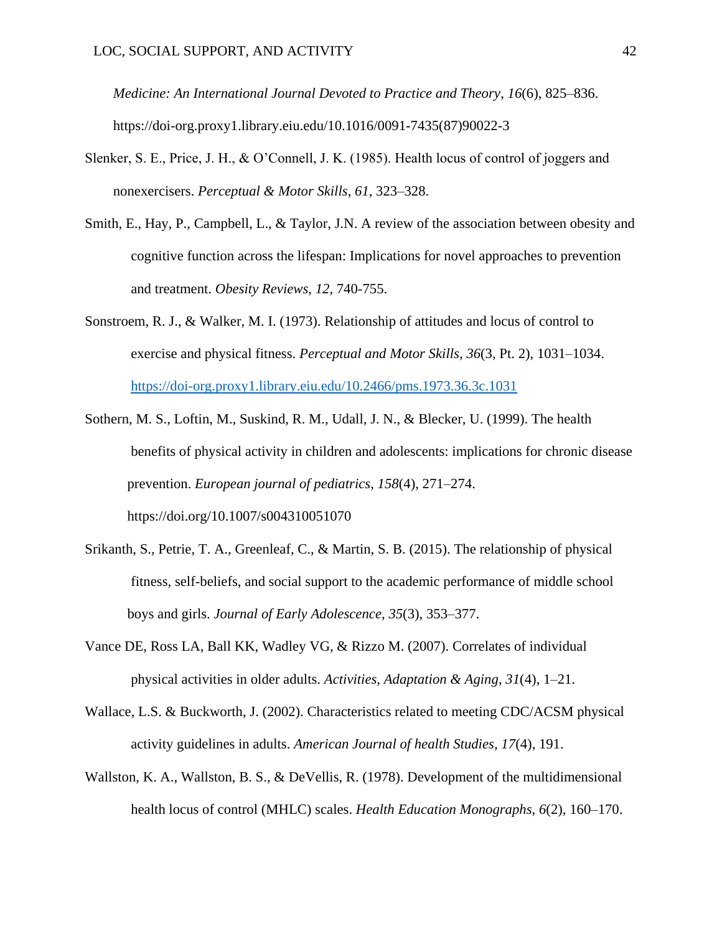*Medicine: An International Journal Devoted to Practice and Theory*, *16*(6), 825–836. https://doi-org.proxy1.library.eiu.edu/10.1016/0091-7435(87)90022-3

- Slenker, S. E., Price, J. H., & O'Connell, J. K. (1985). Health locus of control of joggers and nonexercisers. *Perceptual & Motor Skills*, *61*, 323–328.
- Smith, E., Hay, P., Campbell, L., & Taylor, J.N. A review of the association between obesity and cognitive function across the lifespan: Implications for novel approaches to prevention and treatment. *Obesity Reviews, 12,* 740-755.
- Sonstroem, R. J., & Walker, M. I. (1973). Relationship of attitudes and locus of control to exercise and physical fitness. *Perceptual and Motor Skills*, *36*(3, Pt. 2), 1031–1034. <https://doi-org.proxy1.library.eiu.edu/10.2466/pms.1973.36.3c.1031>
- Sothern, M. S., Loftin, M., Suskind, R. M., Udall, J. N., & Blecker, U. (1999). The health benefits of physical activity in children and adolescents: implications for chronic disease prevention. *European journal of pediatrics*, *158*(4), 271–274. https://doi.org/10.1007/s004310051070
- Srikanth, S., Petrie, T. A., Greenleaf, C., & Martin, S. B. (2015). The relationship of physical fitness, self-beliefs, and social support to the academic performance of middle school boys and girls. *Journal of Early Adolescence*, *35*(3), 353–377.
- Vance DE, Ross LA, Ball KK, Wadley VG, & Rizzo M. (2007). Correlates of individual physical activities in older adults. *Activities, Adaptation & Aging*, *31*(4), 1–21.
- Wallace, L.S. & Buckworth, J. (2002). Characteristics related to meeting CDC/ACSM physical activity guidelines in adults. *American Journal of health Studies, 17*(4), 191.
- Wallston, K. A., Wallston, B. S., & DeVellis, R. (1978). Development of the multidimensional health locus of control (MHLC) scales. *Health Education Monographs*, *6*(2), 160–170.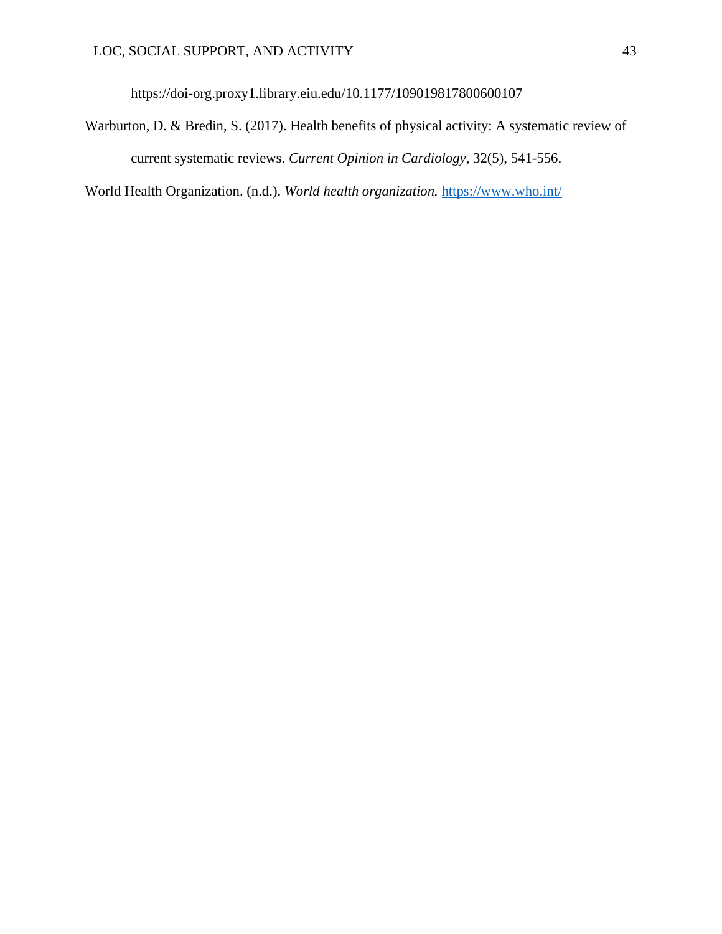https://doi-org.proxy1.library.eiu.edu/10.1177/109019817800600107

Warburton, D. & Bredin, S. (2017). Health benefits of physical activity: A systematic review of current systematic reviews. *Current Opinion in Cardiology*, 32(5), 541-556.

World Health Organization. (n.d.). *World health organization.* <https://www.who.int/>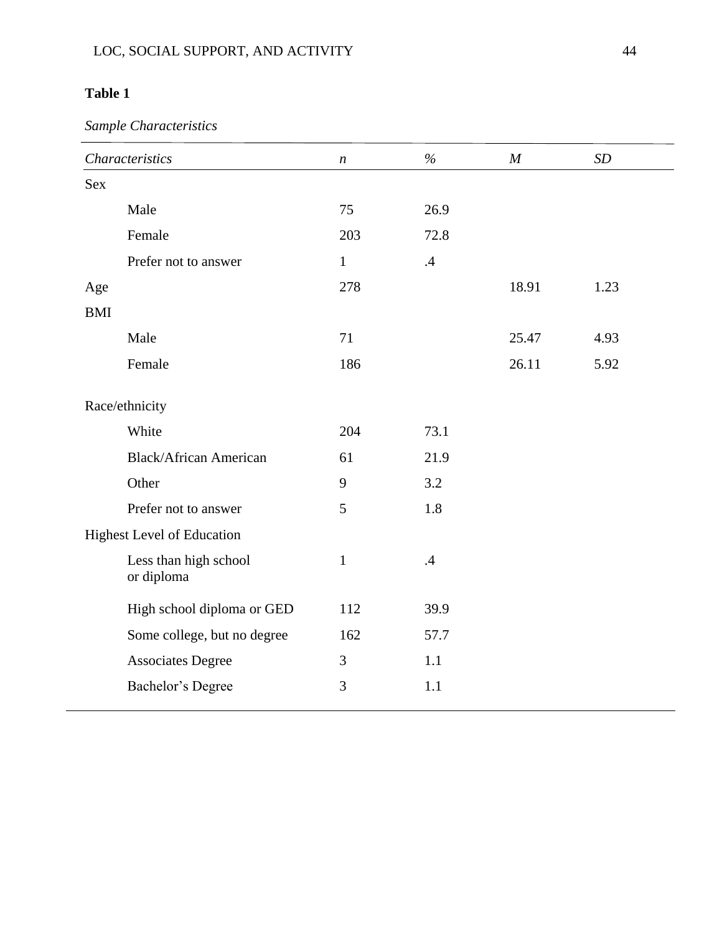## **Table 1**

*Sample Characteristics*

|            | <b>Characteristics</b>              | $\boldsymbol{n}$ | $\%$ | $\boldsymbol{M}$ | SD   |
|------------|-------------------------------------|------------------|------|------------------|------|
| <b>Sex</b> |                                     |                  |      |                  |      |
|            | Male                                | 75               | 26.9 |                  |      |
|            | Female                              | 203              | 72.8 |                  |      |
|            | Prefer not to answer                | $\mathbf{1}$     | .4   |                  |      |
| Age        |                                     | 278              |      | 18.91            | 1.23 |
| <b>BMI</b> |                                     |                  |      |                  |      |
|            | Male                                | 71               |      | 25.47            | 4.93 |
|            | Female                              | 186              |      | 26.11            | 5.92 |
|            | Race/ethnicity                      |                  |      |                  |      |
|            | White                               | 204              | 73.1 |                  |      |
|            | <b>Black/African American</b>       | 61               | 21.9 |                  |      |
|            | Other                               | 9                | 3.2  |                  |      |
|            | Prefer not to answer                | 5                | 1.8  |                  |      |
|            | <b>Highest Level of Education</b>   |                  |      |                  |      |
|            | Less than high school<br>or diploma | $\mathbf{1}$     | .4   |                  |      |
|            | High school diploma or GED          | 112              | 39.9 |                  |      |
|            | Some college, but no degree         | 162              | 57.7 |                  |      |
|            | <b>Associates Degree</b>            | 3                | 1.1  |                  |      |
|            | Bachelor's Degree                   | 3                | 1.1  |                  |      |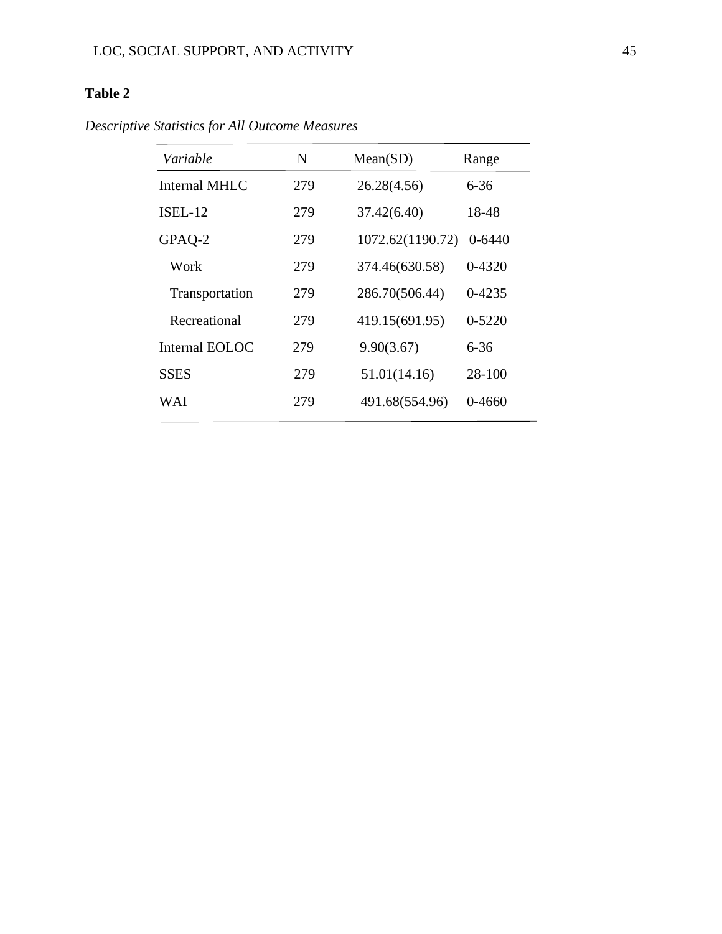## **Table 2**

*Descriptive Statistics for All Outcome Measures*

| Variable             | $\mathbf N$ | Mean(SD)         | Range      |
|----------------------|-------------|------------------|------------|
| <b>Internal MHLC</b> | 279         | 26.28(4.56)      | $6 - 36$   |
| ISEL-12              | 279         | 37.42(6.40)      | 18-48      |
| GPAQ-2               | 279         | 1072.62(1190.72) | $0 - 6440$ |
| Work                 | 279         | 374.46(630.58)   | 0-4320     |
| Transportation       | 279         | 286.70(506.44)   | $0 - 4235$ |
| Recreational         | 279         | 419.15(691.95)   | $0 - 5220$ |
| Internal EOLOC       | 279         | 9.90(3.67)       | $6 - 36$   |
| <b>SSES</b>          | 279         | 51.01(14.16)     | 28-100     |
| WAI                  | 279         | 491.68(554.96)   | $0 - 4660$ |
|                      |             |                  |            |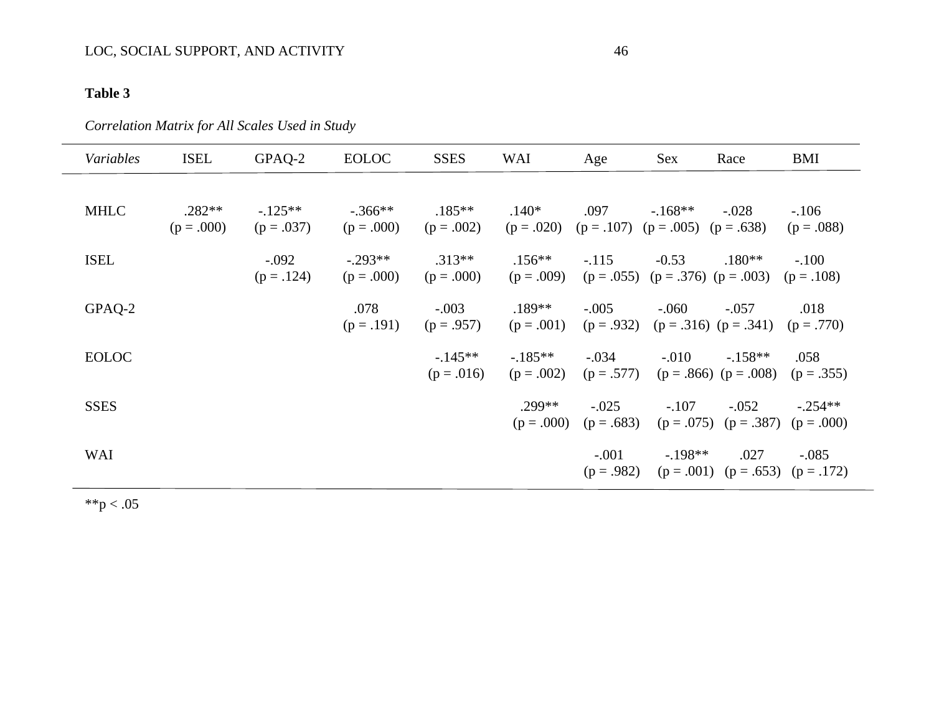# LOC, SOCIAL SUPPORT, AND ACTIVITY 46

# **Table 3**

# *Correlation Matrix for All Scales Used in Study*

| Variables    | <b>ISEL</b> | GPAQ-2     | <b>EOLOC</b> | <b>SSES</b>           | <b>WAI</b>                                          | Age                   | <b>Sex</b>                             | Race                                                | <b>BMI</b> |
|--------------|-------------|------------|--------------|-----------------------|-----------------------------------------------------|-----------------------|----------------------------------------|-----------------------------------------------------|------------|
|              |             |            |              |                       |                                                     |                       |                                        |                                                     |            |
| <b>MHLC</b>  | $.282**$    | $-125**$   | $-.366**$    | $.185**$              | $.140*$                                             | .097                  | $-168**$                               | $-.028$                                             | $-.106$    |
|              | $(p=.000)$  | $(p=.037)$ | $(p=.000)$   | $(p=.002)$            | $(p = .020)$ $(p = .107)$ $(p = .005)$ $(p = .638)$ |                       |                                        |                                                     | $(p=.088)$ |
| <b>ISEL</b>  |             | $-.092$    | $-.293**$    | $.313**$              | $.156**$                                            | $-.115$               | $-0.53$                                | $.180**$                                            | $-.100$    |
|              |             | $(p=.124)$ | $(p=.000)$   | $(p=.000)$            | $(p=.009)$                                          |                       | $(p = .055)$ $(p = .376)$ $(p = .003)$ |                                                     | $(p=.108)$ |
| GPAQ-2       |             |            | .078         | $-.003$               | $.189**$                                            | $-.005$               | $-.060$                                | $-.057$                                             | .018       |
|              |             |            |              | $(p=.191)$ $(p=.957)$ | $(p=.001)$                                          |                       |                                        | $(p = .932)$ $(p = .316)$ $(p = .341)$ $(p = .770)$ |            |
| <b>EOLOC</b> |             |            |              | $-145**$              | $-185**$                                            | $-.034$               | $-.010$                                | $-158**$                                            | .058       |
|              |             |            |              | $(p=.016)$            |                                                     | $(p=.002)$ $(p=.577)$ |                                        | $(p = .866)$ $(p = .008)$ $(p = .355)$              |            |
| <b>SSES</b>  |             |            |              |                       | .299**                                              | $-.025$               | $-.107$                                | $-.052$                                             | $-.254**$  |
|              |             |            |              |                       | $(p=.000)$                                          | $(p=.683)$            |                                        | $(p = .075)$ $(p = .387)$ $(p = .000)$              |            |
| WAI          |             |            |              |                       |                                                     |                       | $-.001$ $-.198**$                      | .027                                                | $-.085$    |
|              |             |            |              |                       |                                                     |                       |                                        | $(p = .982)$ $(p = .001)$ $(p = .653)$ $(p = .172)$ |            |

 $*$  $p < .05$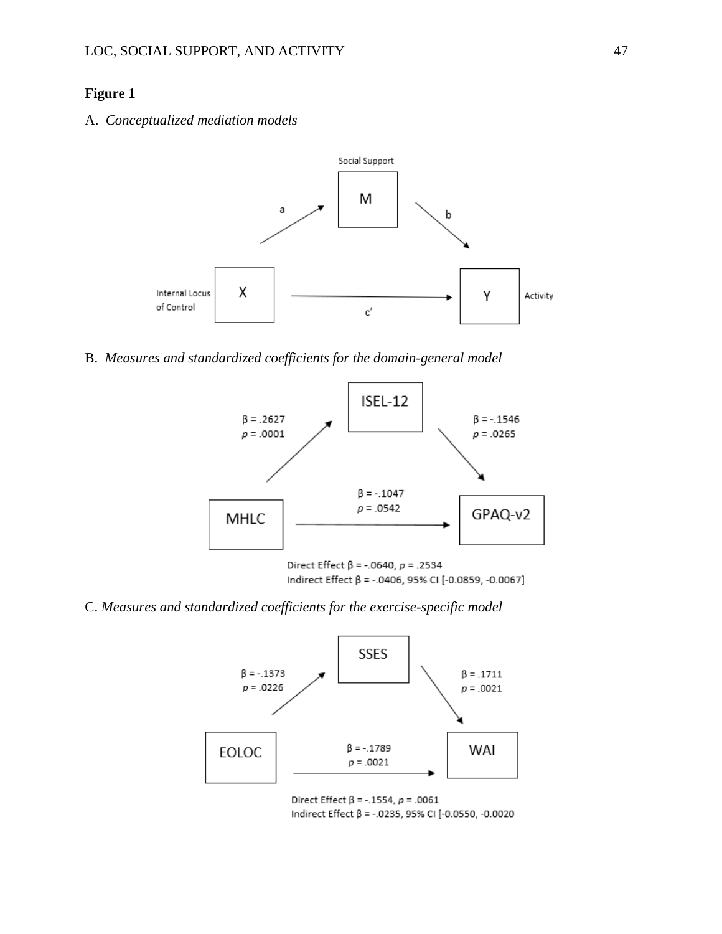### **Figure 1**

A. *Conceptualized mediation models*



B. *Measures and standardized coefficients for the domain-general model*



Indirect Effect β = -.0406, 95% CI [-0.0859, -0.0067]

C. *Measures and standardized coefficients for the exercise-specific model*



Direct Effect  $\beta$  = -.1554,  $p = .0061$ Indirect Effect β = -.0235, 95% CI [-0.0550, -0.0020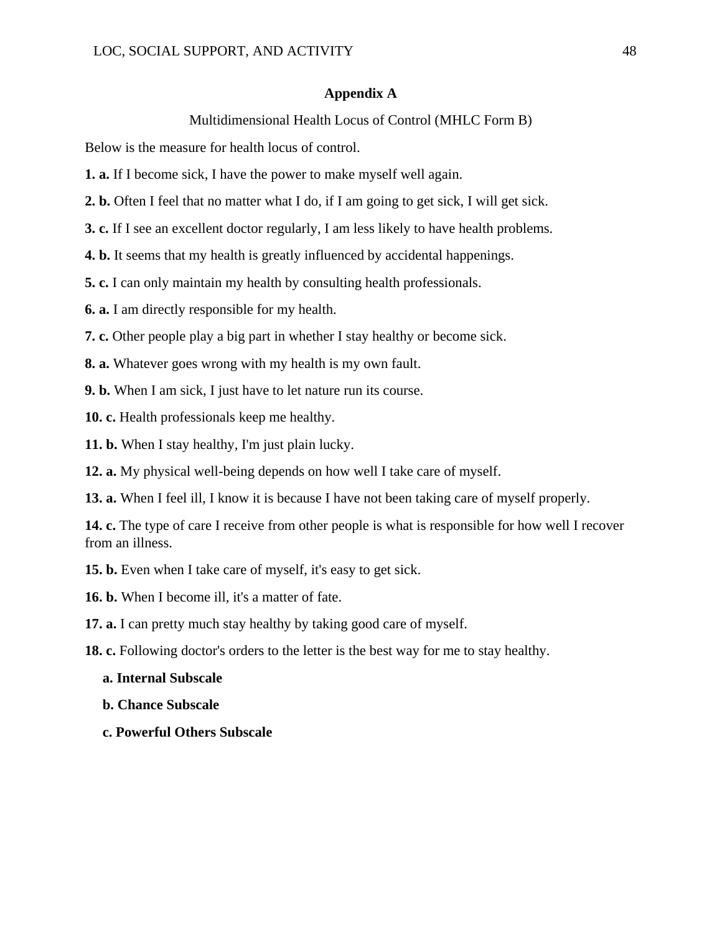#### **Appendix A**

### Multidimensional Health Locus of Control (MHLC Form B)

Below is the measure for health locus of control.

**1. a.** If I become sick, I have the power to make myself well again.

**2. b.** Often I feel that no matter what I do, if I am going to get sick, I will get sick.

**3. c.** If I see an excellent doctor regularly, I am less likely to have health problems.

**4. b.** It seems that my health is greatly influenced by accidental happenings.

**5. c.** I can only maintain my health by consulting health professionals.

**6. a.** I am directly responsible for my health.

**7. c.** Other people play a big part in whether I stay healthy or become sick.

**8. a.** Whatever goes wrong with my health is my own fault.

**9. b.** When I am sick, I just have to let nature run its course.

**10. c.** Health professionals keep me healthy.

**11. b.** When I stay healthy, I'm just plain lucky.

**12. a.** My physical well-being depends on how well I take care of myself.

**13. a.** When I feel ill, I know it is because I have not been taking care of myself properly.

**14. c.** The type of care I receive from other people is what is responsible for how well I recover from an illness.

**15. b.** Even when I take care of myself, it's easy to get sick.

**16. b.** When I become ill, it's a matter of fate.

**17. a.** I can pretty much stay healthy by taking good care of myself.

**18. c.** Following doctor's orders to the letter is the best way for me to stay healthy.

#### **a. Internal Subscale**

 **b. Chance Subscale**

 **c. Powerful Others Subscale**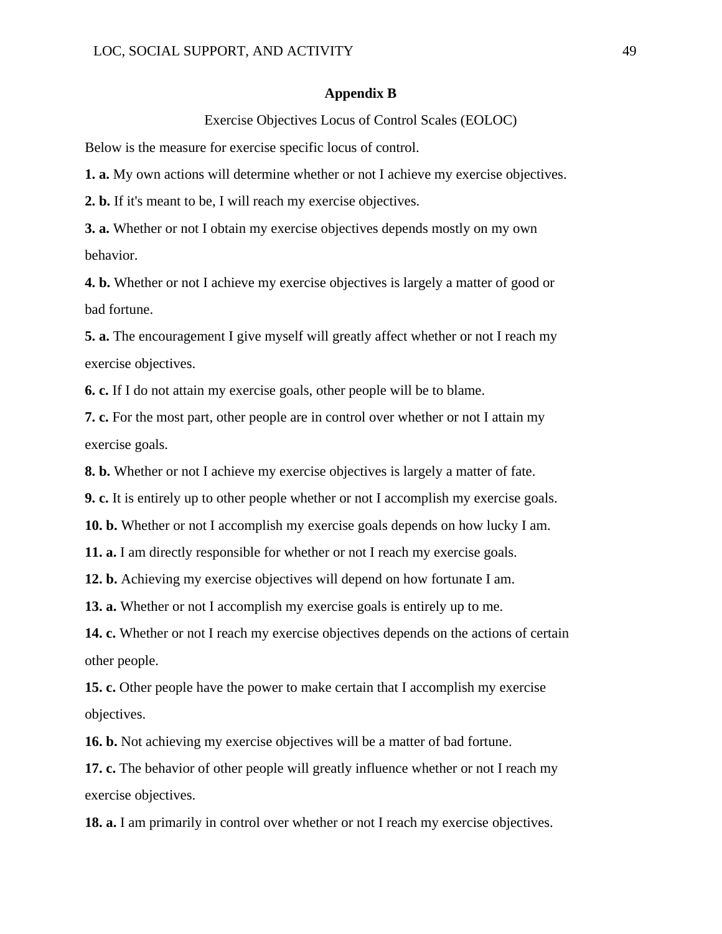#### **Appendix B**

Exercise Objectives Locus of Control Scales (EOLOC)

Below is the measure for exercise specific locus of control.

**1. a.** My own actions will determine whether or not I achieve my exercise objectives.

**2. b.** If it's meant to be, I will reach my exercise objectives.

**3. a.** Whether or not I obtain my exercise objectives depends mostly on my own behavior.

**4. b.** Whether or not I achieve my exercise objectives is largely a matter of good or bad fortune.

**5. a.** The encouragement I give myself will greatly affect whether or not I reach my exercise objectives.

**6. c.** If I do not attain my exercise goals, other people will be to blame.

**7. c.** For the most part, other people are in control over whether or not I attain my exercise goals.

**8. b.** Whether or not I achieve my exercise objectives is largely a matter of fate.

**9. c.** It is entirely up to other people whether or not I accomplish my exercise goals.

**10. b.** Whether or not I accomplish my exercise goals depends on how lucky I am.

**11. a.** I am directly responsible for whether or not I reach my exercise goals.

**12. b.** Achieving my exercise objectives will depend on how fortunate I am.

**13. a.** Whether or not I accomplish my exercise goals is entirely up to me.

**14. c.** Whether or not I reach my exercise objectives depends on the actions of certain other people.

**15. c.** Other people have the power to make certain that I accomplish my exercise objectives.

**16. b.** Not achieving my exercise objectives will be a matter of bad fortune.

**17. c.** The behavior of other people will greatly influence whether or not I reach my exercise objectives.

**18. a.** I am primarily in control over whether or not I reach my exercise objectives.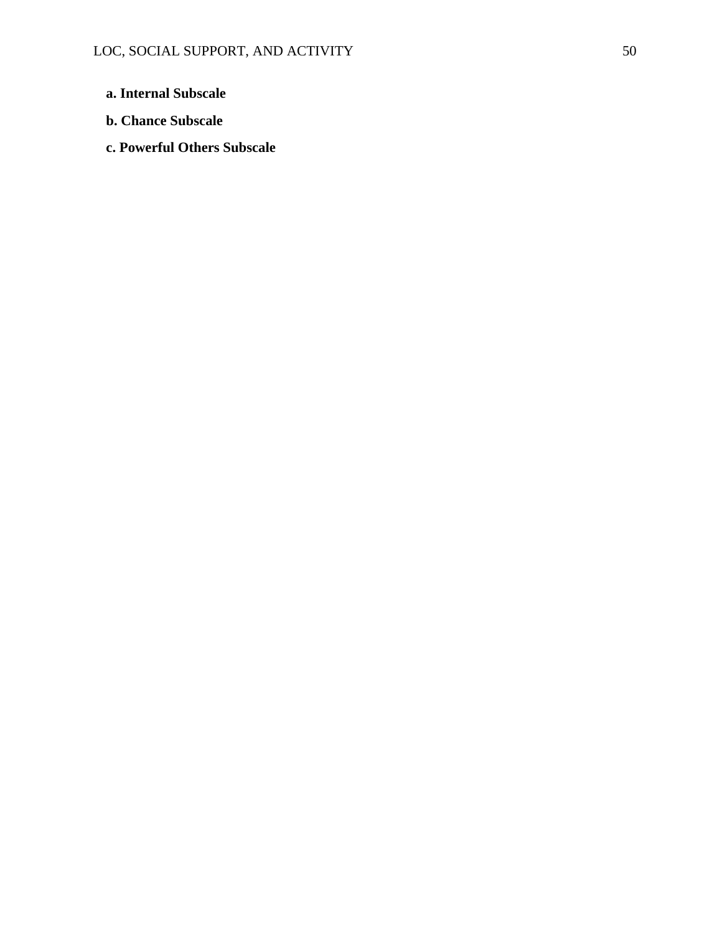- **a. Internal Subscale**
- **b. Chance Subscale**
- **c. Powerful Others Subscale**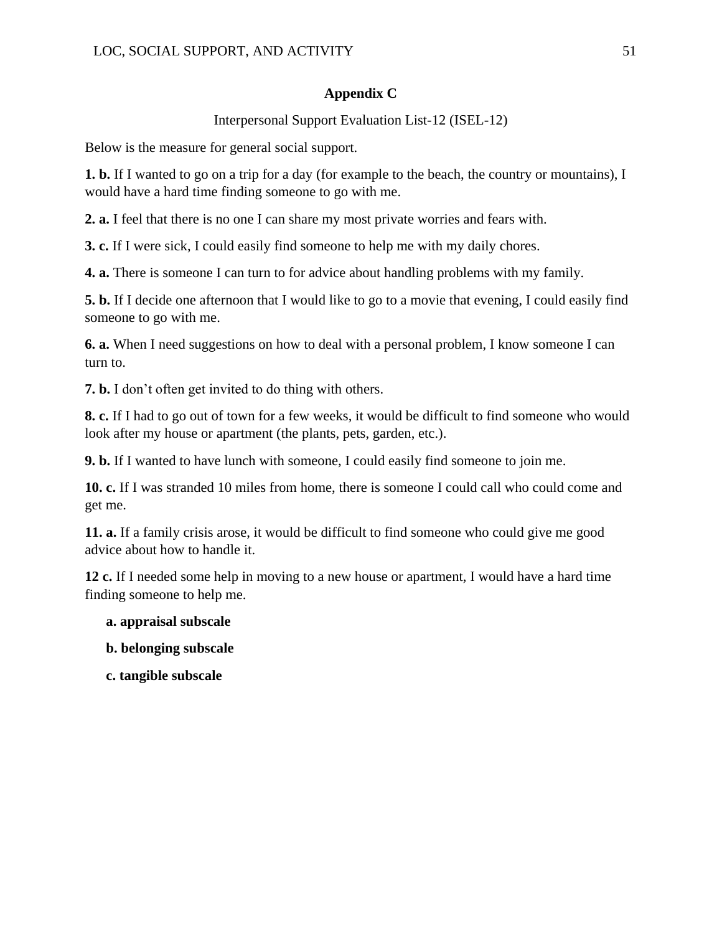### **Appendix C**

Interpersonal Support Evaluation List-12 (ISEL-12)

Below is the measure for general social support.

**1. b.** If I wanted to go on a trip for a day (for example to the beach, the country or mountains), I would have a hard time finding someone to go with me.

**2. a.** I feel that there is no one I can share my most private worries and fears with.

**3. c.** If I were sick, I could easily find someone to help me with my daily chores.

**4. a.** There is someone I can turn to for advice about handling problems with my family.

**5. b.** If I decide one afternoon that I would like to go to a movie that evening, I could easily find someone to go with me.

**6. a.** When I need suggestions on how to deal with a personal problem, I know someone I can turn to.

**7. b.** I don't often get invited to do thing with others.

**8. c.** If I had to go out of town for a few weeks, it would be difficult to find someone who would look after my house or apartment (the plants, pets, garden, etc.).

**9. b.** If I wanted to have lunch with someone, I could easily find someone to join me.

**10. c.** If I was stranded 10 miles from home, there is someone I could call who could come and get me.

**11. a.** If a family crisis arose, it would be difficult to find someone who could give me good advice about how to handle it.

**12 c.** If I needed some help in moving to a new house or apartment, I would have a hard time finding someone to help me.

### **a. appraisal subscale**

- **b. belonging subscale**
- **c. tangible subscale**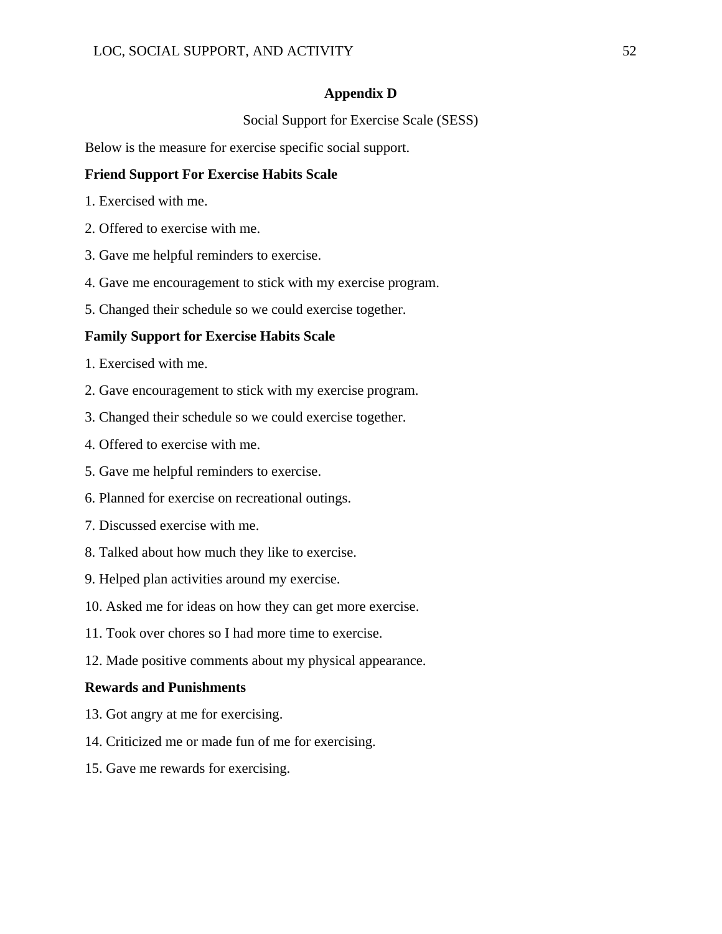### **Appendix D**

Social Support for Exercise Scale (SESS)

Below is the measure for exercise specific social support.

### **Friend Support For Exercise Habits Scale**

- 1. Exercised with me.
- 2. Offered to exercise with me.
- 3. Gave me helpful reminders to exercise.
- 4. Gave me encouragement to stick with my exercise program.
- 5. Changed their schedule so we could exercise together.

### **Family Support for Exercise Habits Scale**

- 1. Exercised with me.
- 2. Gave encouragement to stick with my exercise program.
- 3. Changed their schedule so we could exercise together.
- 4. Offered to exercise with me.
- 5. Gave me helpful reminders to exercise.
- 6. Planned for exercise on recreational outings.
- 7. Discussed exercise with me.
- 8. Talked about how much they like to exercise.
- 9. Helped plan activities around my exercise.
- 10. Asked me for ideas on how they can get more exercise.
- 11. Took over chores so I had more time to exercise.
- 12. Made positive comments about my physical appearance.

### **Rewards and Punishments**

- 13. Got angry at me for exercising.
- 14. Criticized me or made fun of me for exercising.
- 15. Gave me rewards for exercising.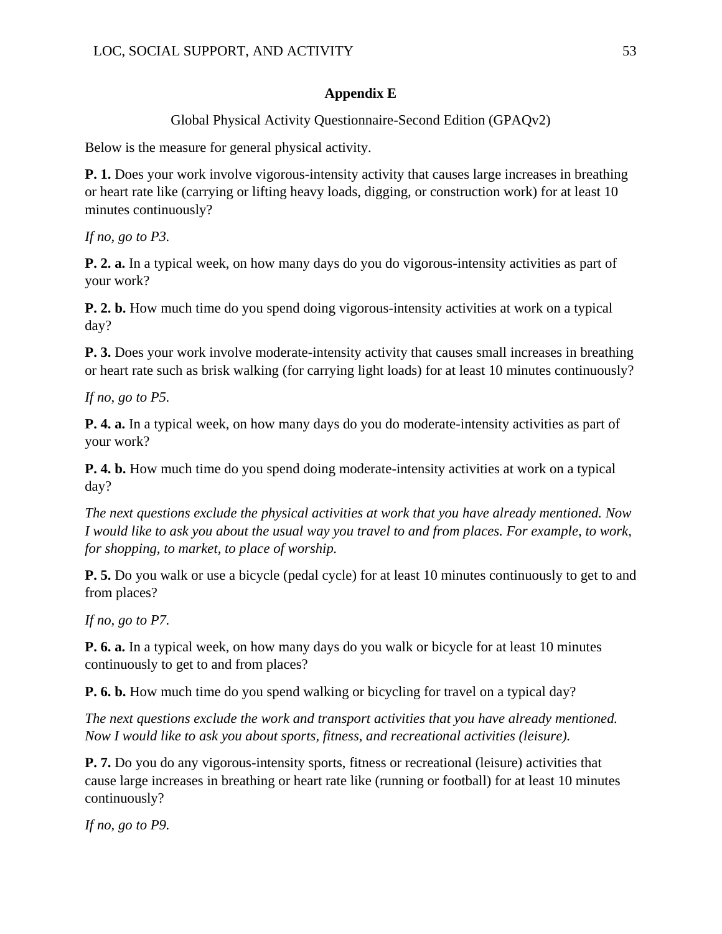### **Appendix E**

Global Physical Activity Questionnaire-Second Edition (GPAQv2)

Below is the measure for general physical activity.

**P. 1.** Does your work involve vigorous-intensity activity that causes large increases in breathing or heart rate like (carrying or lifting heavy loads, digging, or construction work) for at least 10 minutes continuously?

*If no, go to P3.*

**P. 2. a.** In a typical week, on how many days do you do vigorous-intensity activities as part of your work?

**P. 2. b.** How much time do you spend doing vigorous-intensity activities at work on a typical day?

**P. 3.** Does your work involve moderate-intensity activity that causes small increases in breathing or heart rate such as brisk walking (for carrying light loads) for at least 10 minutes continuously?

*If no, go to P5.* 

**P. 4. a.** In a typical week, on how many days do you do moderate-intensity activities as part of your work?

**P. 4. b.** How much time do you spend doing moderate-intensity activities at work on a typical day?

*The next questions exclude the physical activities at work that you have already mentioned. Now I would like to ask you about the usual way you travel to and from places. For example, to work, for shopping, to market, to place of worship.* 

**P. 5.** Do you walk or use a bicycle (pedal cycle) for at least 10 minutes continuously to get to and from places?

*If no, go to P7.*

**P. 6. a.** In a typical week, on how many days do you walk or bicycle for at least 10 minutes continuously to get to and from places?

**P. 6. b.** How much time do you spend walking or bicycling for travel on a typical day?

*The next questions exclude the work and transport activities that you have already mentioned. Now I would like to ask you about sports, fitness, and recreational activities (leisure).*

**P. 7.** Do you do any vigorous-intensity sports, fitness or recreational (leisure) activities that cause large increases in breathing or heart rate like (running or football) for at least 10 minutes continuously?

*If no, go to P9.*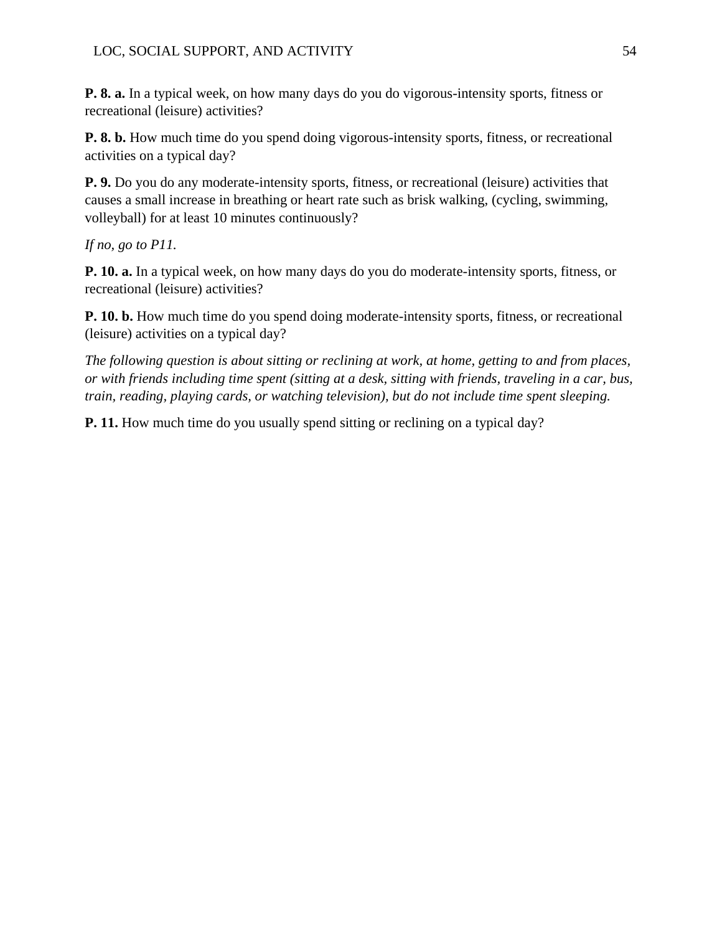**P. 8. a.** In a typical week, on how many days do you do vigorous-intensity sports, fitness or recreational (leisure) activities?

**P. 8. b.** How much time do you spend doing vigorous-intensity sports, fitness, or recreational activities on a typical day?

**P. 9.** Do you do any moderate-intensity sports, fitness, or recreational (leisure) activities that causes a small increase in breathing or heart rate such as brisk walking, (cycling, swimming, volleyball) for at least 10 minutes continuously?

*If no, go to P11.*

**P. 10. a.** In a typical week, on how many days do you do moderate-intensity sports, fitness, or recreational (leisure) activities?

**P. 10. b.** How much time do you spend doing moderate-intensity sports, fitness, or recreational (leisure) activities on a typical day?

*The following question is about sitting or reclining at work, at home, getting to and from places, or with friends including time spent (sitting at a desk, sitting with friends, traveling in a car, bus, train, reading, playing cards, or watching television), but do not include time spent sleeping.* 

**P. 11.** How much time do you usually spend sitting or reclining on a typical day?